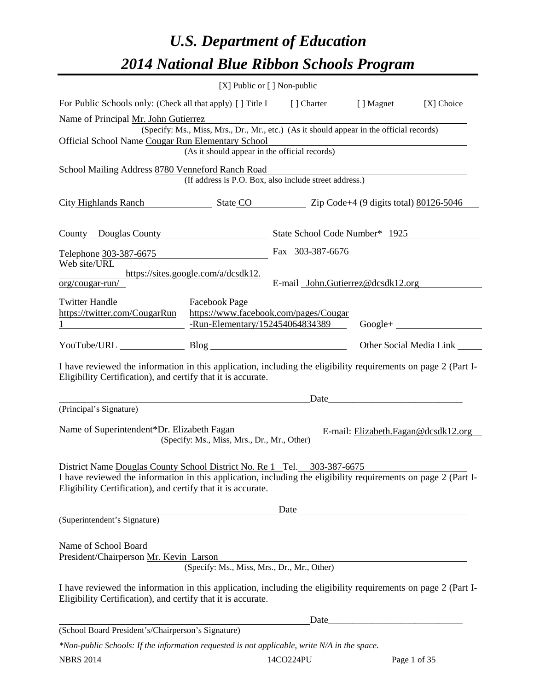# *U.S. Department of Education 2014 National Blue Ribbon Schools Program*

|                                                                                                                                                                                                                                                           | [X] Public or [] Non-public                                                                                                                     |                                   |      |                                     |  |  |
|-----------------------------------------------------------------------------------------------------------------------------------------------------------------------------------------------------------------------------------------------------------|-------------------------------------------------------------------------------------------------------------------------------------------------|-----------------------------------|------|-------------------------------------|--|--|
| For Public Schools only: (Check all that apply) [] Title I [] Charter [] Magnet<br>[X] Choice                                                                                                                                                             |                                                                                                                                                 |                                   |      |                                     |  |  |
| Name of Principal Mr. John Gutierrez<br>(Specify: Ms., Miss, Mrs., Dr., Mr., etc.) (As it should appear in the official records)<br>Official School Name Cougar Run Elementary School                                                                     |                                                                                                                                                 |                                   |      |                                     |  |  |
| (As it should appear in the official records)                                                                                                                                                                                                             |                                                                                                                                                 |                                   |      |                                     |  |  |
| School Mailing Address 8780 Venneford Ranch Road<br>(If address is P.O. Box, also include street address.)                                                                                                                                                |                                                                                                                                                 |                                   |      |                                     |  |  |
| City Highlands Ranch State CO Zip Code+4 (9 digits total) 80126-5046                                                                                                                                                                                      |                                                                                                                                                 |                                   |      |                                     |  |  |
| County Douglas County State School Code Number* 1925                                                                                                                                                                                                      |                                                                                                                                                 |                                   |      |                                     |  |  |
| Telephone 303-387-6675                                                                                                                                                                                                                                    |                                                                                                                                                 | Fax 303-387-6676                  |      |                                     |  |  |
| Web site/URL                                                                                                                                                                                                                                              | https://sites.google.com/a/dcsdk12.                                                                                                             |                                   |      |                                     |  |  |
| $org/cougar-run/$                                                                                                                                                                                                                                         |                                                                                                                                                 | E-mail John.Gutierrez@dcsdk12.org |      |                                     |  |  |
| <b>Twitter Handle</b>                                                                                                                                                                                                                                     | <b>Facebook Page</b><br>https://twitter.com/CougarRun https://www.facebook.com/pages/Cougar<br>-Run-Elementary/152454064834389<br>$Google + \_$ |                                   |      |                                     |  |  |
| YouTube/URL Blog Blog                                                                                                                                                                                                                                     |                                                                                                                                                 |                                   |      | Other Social Media Link _____       |  |  |
| I have reviewed the information in this application, including the eligibility requirements on page 2 (Part I-<br>Eligibility Certification), and certify that it is accurate.                                                                            |                                                                                                                                                 |                                   |      |                                     |  |  |
| (Principal's Signature)                                                                                                                                                                                                                                   |                                                                                                                                                 |                                   | Date |                                     |  |  |
| Name of Superintendent*Dr. Elizabeth Fagan                                                                                                                                                                                                                | (Specify: Ms., Miss, Mrs., Dr., Mr., Other)                                                                                                     |                                   |      | E-mail: Elizabeth.Fagan@dcsdk12.org |  |  |
| District Name Douglas County School District No. Re 1 Tel. 303-387-6675<br>I have reviewed the information in this application, including the eligibility requirements on page 2 (Part I-<br>Eligibility Certification), and certify that it is accurate. |                                                                                                                                                 |                                   |      |                                     |  |  |
| (Superintendent's Signature)                                                                                                                                                                                                                              |                                                                                                                                                 | Date                              |      |                                     |  |  |
| Name of School Board<br>President/Chairperson Mr. Kevin Larson<br>I have reviewed the information in this application, including the eligibility requirements on page 2 (Part I-                                                                          | (Specify: Ms., Miss, Mrs., Dr., Mr., Other)                                                                                                     |                                   |      |                                     |  |  |
| Eligibility Certification), and certify that it is accurate.                                                                                                                                                                                              |                                                                                                                                                 |                                   |      |                                     |  |  |
| (School Board President's/Chairperson's Signature)                                                                                                                                                                                                        |                                                                                                                                                 |                                   |      |                                     |  |  |
| *Non-public Schools: If the information requested is not applicable, write N/A in the space.                                                                                                                                                              |                                                                                                                                                 |                                   |      |                                     |  |  |

| <b>NBRS 2014</b> | 14CO224PU | Page 1 of 35 |
|------------------|-----------|--------------|
|                  |           |              |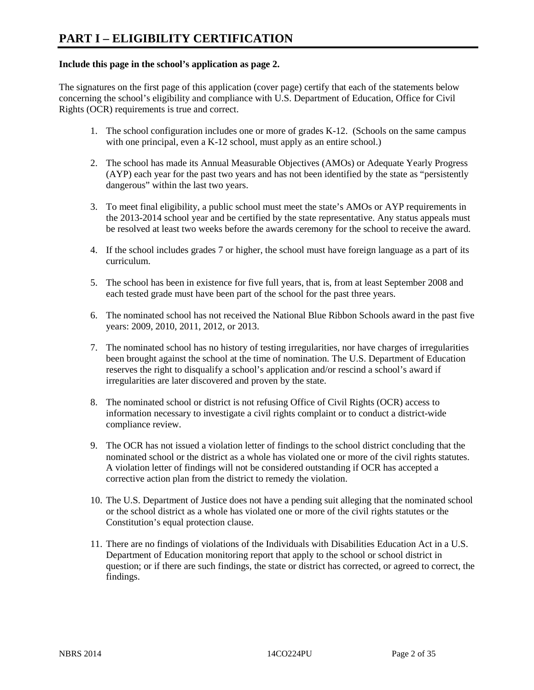### **Include this page in the school's application as page 2.**

The signatures on the first page of this application (cover page) certify that each of the statements below concerning the school's eligibility and compliance with U.S. Department of Education, Office for Civil Rights (OCR) requirements is true and correct.

- 1. The school configuration includes one or more of grades K-12. (Schools on the same campus with one principal, even a K-12 school, must apply as an entire school.)
- 2. The school has made its Annual Measurable Objectives (AMOs) or Adequate Yearly Progress (AYP) each year for the past two years and has not been identified by the state as "persistently dangerous" within the last two years.
- 3. To meet final eligibility, a public school must meet the state's AMOs or AYP requirements in the 2013-2014 school year and be certified by the state representative. Any status appeals must be resolved at least two weeks before the awards ceremony for the school to receive the award.
- 4. If the school includes grades 7 or higher, the school must have foreign language as a part of its curriculum.
- 5. The school has been in existence for five full years, that is, from at least September 2008 and each tested grade must have been part of the school for the past three years.
- 6. The nominated school has not received the National Blue Ribbon Schools award in the past five years: 2009, 2010, 2011, 2012, or 2013.
- 7. The nominated school has no history of testing irregularities, nor have charges of irregularities been brought against the school at the time of nomination. The U.S. Department of Education reserves the right to disqualify a school's application and/or rescind a school's award if irregularities are later discovered and proven by the state.
- 8. The nominated school or district is not refusing Office of Civil Rights (OCR) access to information necessary to investigate a civil rights complaint or to conduct a district-wide compliance review.
- 9. The OCR has not issued a violation letter of findings to the school district concluding that the nominated school or the district as a whole has violated one or more of the civil rights statutes. A violation letter of findings will not be considered outstanding if OCR has accepted a corrective action plan from the district to remedy the violation.
- 10. The U.S. Department of Justice does not have a pending suit alleging that the nominated school or the school district as a whole has violated one or more of the civil rights statutes or the Constitution's equal protection clause.
- 11. There are no findings of violations of the Individuals with Disabilities Education Act in a U.S. Department of Education monitoring report that apply to the school or school district in question; or if there are such findings, the state or district has corrected, or agreed to correct, the findings.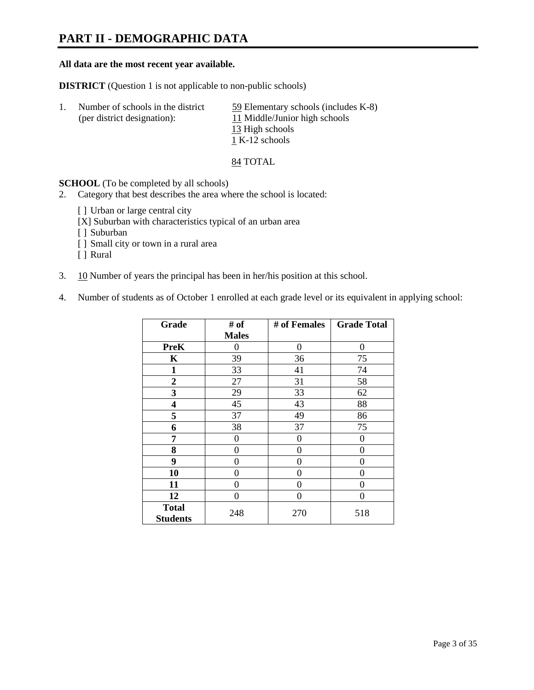### **PART II - DEMOGRAPHIC DATA**

#### **All data are the most recent year available.**

**DISTRICT** (Question 1 is not applicable to non-public schools)

| Number of schools in the district<br>(per district designation): | 59 Elementary schools (includes K-8)<br>11 Middle/Junior high schools |
|------------------------------------------------------------------|-----------------------------------------------------------------------|
|                                                                  | 13 High schools                                                       |
|                                                                  | 1 K-12 schools                                                        |

84 TOTAL

**SCHOOL** (To be completed by all schools)

- 2. Category that best describes the area where the school is located:
	- [ ] Urban or large central city
	- [X] Suburban with characteristics typical of an urban area
	- [ ] Suburban
	- [ ] Small city or town in a rural area
	- [ ] Rural
- 3. 10 Number of years the principal has been in her/his position at this school.
- 4. Number of students as of October 1 enrolled at each grade level or its equivalent in applying school:

| Grade                           | # of         | # of Females | <b>Grade Total</b> |
|---------------------------------|--------------|--------------|--------------------|
|                                 | <b>Males</b> |              |                    |
| <b>PreK</b>                     | 0            | $\theta$     | $\Omega$           |
| K                               | 39           | 36           | 75                 |
| $\mathbf{1}$                    | 33           | 41           | 74                 |
| $\overline{2}$                  | 27           | 31           | 58                 |
| 3                               | 29           | 33           | 62                 |
| 4                               | 45           | 43           | 88                 |
| 5                               | 37           | 49           | 86                 |
| 6                               | 38           | 37           | 75                 |
| 7                               | 0            | 0            | 0                  |
| 8                               | 0            | 0            | 0                  |
| 9                               | 0            | 0            | 0                  |
| 10                              | 0            | 0            | 0                  |
| 11                              | 0            | 0            | 0                  |
| 12                              | 0            | 0            | 0                  |
| <b>Total</b><br><b>Students</b> | 248          | 270          | 518                |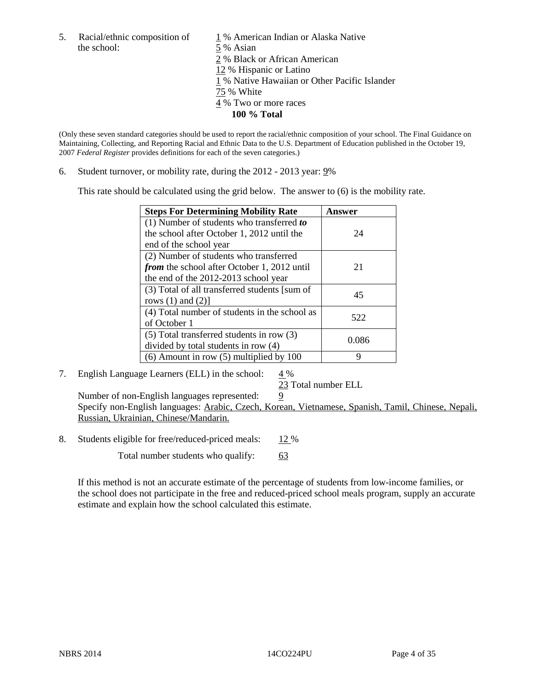the school: 5 % Asian

5. Racial/ethnic composition of  $1\%$  American Indian or Alaska Native 2 % Black or African American 12 % Hispanic or Latino 1 % Native Hawaiian or Other Pacific Islander 75 % White 4 % Two or more races **100 % Total** 

(Only these seven standard categories should be used to report the racial/ethnic composition of your school. The Final Guidance on Maintaining, Collecting, and Reporting Racial and Ethnic Data to the U.S. Department of Education published in the October 19, 2007 *Federal Register* provides definitions for each of the seven categories.)

6. Student turnover, or mobility rate, during the 2012 - 2013 year: 9%

This rate should be calculated using the grid below. The answer to (6) is the mobility rate.

| <b>Steps For Determining Mobility Rate</b>    | Answer |
|-----------------------------------------------|--------|
| (1) Number of students who transferred to     |        |
| the school after October 1, 2012 until the    | 24     |
| end of the school year                        |        |
| (2) Number of students who transferred        |        |
| from the school after October 1, 2012 until   | 21     |
| the end of the 2012-2013 school year          |        |
| (3) Total of all transferred students [sum of | 45     |
| rows $(1)$ and $(2)$ ]                        |        |
| (4) Total number of students in the school as | 522    |
| of October 1                                  |        |
| $(5)$ Total transferred students in row $(3)$ | 0.086  |
| divided by total students in row (4)          |        |
| $(6)$ Amount in row $(5)$ multiplied by 100   | Q      |

### 7. English Language Learners (ELL) in the school:  $4\%$

23 Total number ELL

Number of non-English languages represented:  $9$  Specify non-English languages: Arabic, Czech, Korean, Vietnamese, Spanish, Tamil, Chinese, Nepali, Russian, Ukrainian, Chinese/Mandarin.

8. Students eligible for free/reduced-priced meals: 12 %

Total number students who qualify: 63

If this method is not an accurate estimate of the percentage of students from low-income families, or the school does not participate in the free and reduced-priced school meals program, supply an accurate estimate and explain how the school calculated this estimate.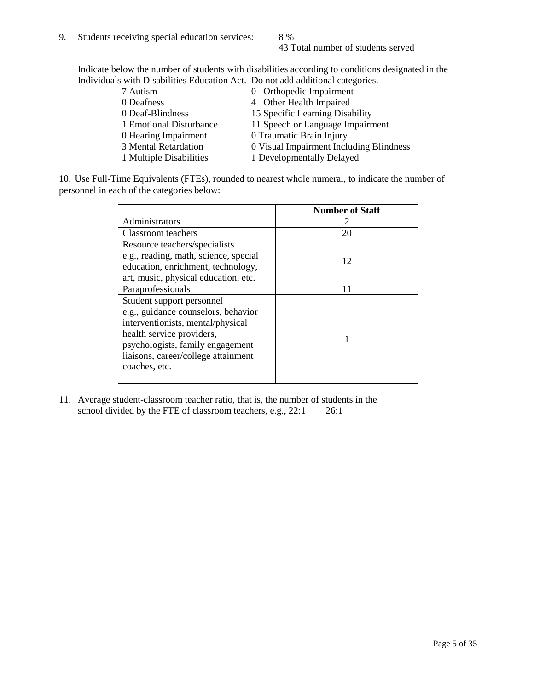43 Total number of students served

Indicate below the number of students with disabilities according to conditions designated in the Individuals with Disabilities Education Act. Do not add additional categories.

| 7 Autism                | 0 Orthopedic Impairment                 |
|-------------------------|-----------------------------------------|
| 0 Deafness              | 4 Other Health Impaired                 |
| 0 Deaf-Blindness        | 15 Specific Learning Disability         |
| 1 Emotional Disturbance | 11 Speech or Language Impairment        |
| 0 Hearing Impairment    | 0 Traumatic Brain Injury                |
| 3 Mental Retardation    | 0 Visual Impairment Including Blindness |
| 1 Multiple Disabilities | 1 Developmentally Delayed               |
|                         |                                         |

10. Use Full-Time Equivalents (FTEs), rounded to nearest whole numeral, to indicate the number of personnel in each of the categories below:

|                                       | <b>Number of Staff</b> |
|---------------------------------------|------------------------|
| Administrators                        |                        |
| Classroom teachers                    | 20                     |
| Resource teachers/specialists         |                        |
| e.g., reading, math, science, special | 12                     |
| education, enrichment, technology,    |                        |
| art, music, physical education, etc.  |                        |
| Paraprofessionals                     | 11                     |
| Student support personnel             |                        |
| e.g., guidance counselors, behavior   |                        |
| interventionists, mental/physical     |                        |
| health service providers,             |                        |
| psychologists, family engagement      |                        |
| liaisons, career/college attainment   |                        |
| coaches, etc.                         |                        |
|                                       |                        |

11. Average student-classroom teacher ratio, that is, the number of students in the school divided by the FTE of classroom teachers, e.g.,  $22:1$   $26:1$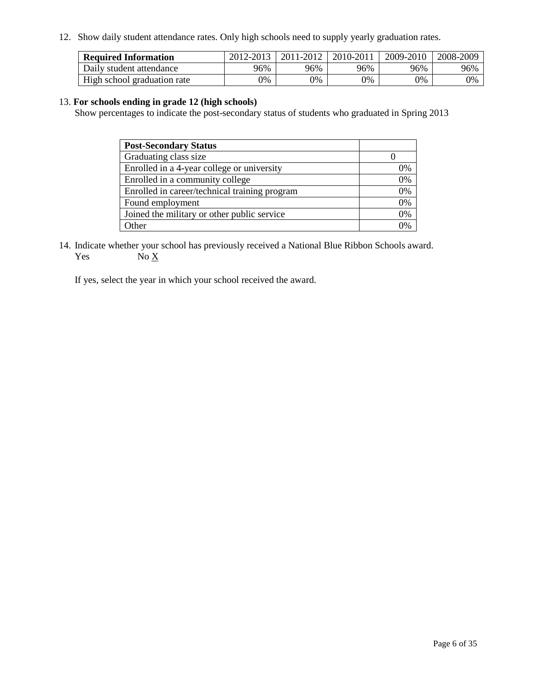12. Show daily student attendance rates. Only high schools need to supply yearly graduation rates.

| <b>Required Information</b> | 2012-2013 | 2011-2012 | 2010-2011 | 2009-2010 | 2008-2009 |
|-----------------------------|-----------|-----------|-----------|-----------|-----------|
| Daily student attendance    | 96%       | 96%       | 96%       | 96%       | 96%       |
| High school graduation rate | 0%        | 9%        | 0%        | 0%        | 0%        |

### 13. **For schools ending in grade 12 (high schools)**

Show percentages to indicate the post-secondary status of students who graduated in Spring 2013

| <b>Post-Secondary Status</b>                  |    |
|-----------------------------------------------|----|
| Graduating class size                         |    |
| Enrolled in a 4-year college or university    | 0% |
| Enrolled in a community college               | 0% |
| Enrolled in career/technical training program | 0% |
| Found employment                              | 0% |
| Joined the military or other public service   | 0% |
| <b>Other</b>                                  | 2% |

14. Indicate whether your school has previously received a National Blue Ribbon Schools award. Yes  $No \underline{X}$ 

If yes, select the year in which your school received the award.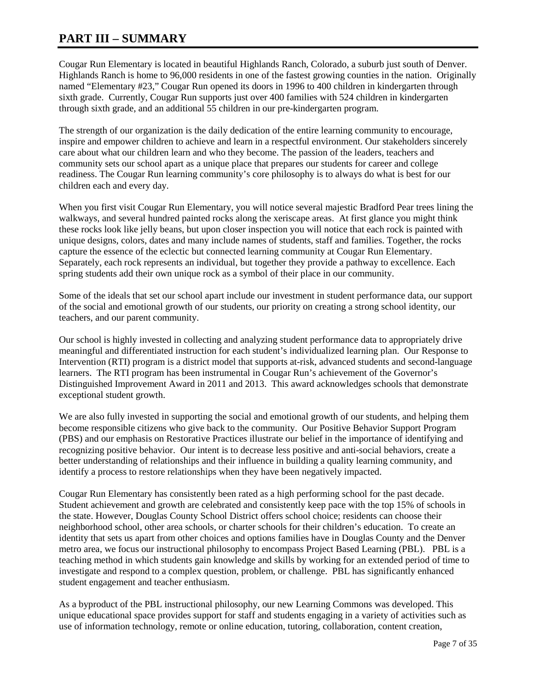### **PART III – SUMMARY**

Cougar Run Elementary is located in beautiful Highlands Ranch, Colorado, a suburb just south of Denver. Highlands Ranch is home to 96,000 residents in one of the fastest growing counties in the nation. Originally named "Elementary #23," Cougar Run opened its doors in 1996 to 400 children in kindergarten through sixth grade. Currently, Cougar Run supports just over 400 families with 524 children in kindergarten through sixth grade, and an additional 55 children in our pre-kindergarten program.

The strength of our organization is the daily dedication of the entire learning community to encourage, inspire and empower children to achieve and learn in a respectful environment. Our stakeholders sincerely care about what our children learn and who they become. The passion of the leaders, teachers and community sets our school apart as a unique place that prepares our students for career and college readiness. The Cougar Run learning community's core philosophy is to always do what is best for our children each and every day.

When you first visit Cougar Run Elementary, you will notice several majestic Bradford Pear trees lining the walkways, and several hundred painted rocks along the xeriscape areas. At first glance you might think these rocks look like jelly beans, but upon closer inspection you will notice that each rock is painted with unique designs, colors, dates and many include names of students, staff and families. Together, the rocks capture the essence of the eclectic but connected learning community at Cougar Run Elementary. Separately, each rock represents an individual, but together they provide a pathway to excellence. Each spring students add their own unique rock as a symbol of their place in our community.

Some of the ideals that set our school apart include our investment in student performance data, our support of the social and emotional growth of our students, our priority on creating a strong school identity, our teachers, and our parent community.

Our school is highly invested in collecting and analyzing student performance data to appropriately drive meaningful and differentiated instruction for each student's individualized learning plan. Our Response to Intervention (RTI) program is a district model that supports at-risk, advanced students and second-language learners. The RTI program has been instrumental in Cougar Run's achievement of the Governor's Distinguished Improvement Award in 2011 and 2013. This award acknowledges schools that demonstrate exceptional student growth.

We are also fully invested in supporting the social and emotional growth of our students, and helping them become responsible citizens who give back to the community. Our Positive Behavior Support Program (PBS) and our emphasis on Restorative Practices illustrate our belief in the importance of identifying and recognizing positive behavior. Our intent is to decrease less positive and anti-social behaviors, create a better understanding of relationships and their influence in building a quality learning community, and identify a process to restore relationships when they have been negatively impacted.

Cougar Run Elementary has consistently been rated as a high performing school for the past decade. Student achievement and growth are celebrated and consistently keep pace with the top 15% of schools in the state. However, Douglas County School District offers school choice; residents can choose their neighborhood school, other area schools, or charter schools for their children's education. To create an identity that sets us apart from other choices and options families have in Douglas County and the Denver metro area, we focus our instructional philosophy to encompass Project Based Learning (PBL). PBL is a teaching method in which students gain knowledge and skills by working for an extended period of time to investigate and respond to a complex question, problem, or challenge. PBL has significantly enhanced student engagement and teacher enthusiasm.

As a byproduct of the PBL instructional philosophy, our new Learning Commons was developed. This unique educational space provides support for staff and students engaging in a variety of activities such as use of information technology, remote or online education, tutoring, collaboration, content creation,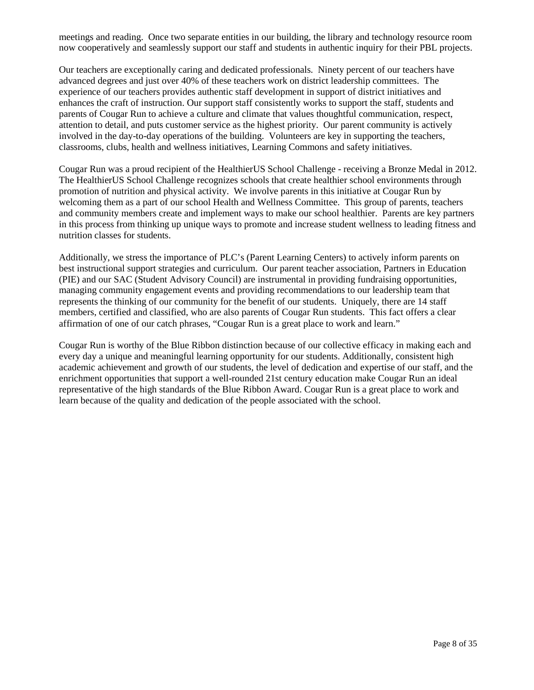meetings and reading. Once two separate entities in our building, the library and technology resource room now cooperatively and seamlessly support our staff and students in authentic inquiry for their PBL projects.

Our teachers are exceptionally caring and dedicated professionals. Ninety percent of our teachers have advanced degrees and just over 40% of these teachers work on district leadership committees. The experience of our teachers provides authentic staff development in support of district initiatives and enhances the craft of instruction. Our support staff consistently works to support the staff, students and parents of Cougar Run to achieve a culture and climate that values thoughtful communication, respect, attention to detail, and puts customer service as the highest priority. Our parent community is actively involved in the day-to-day operations of the building. Volunteers are key in supporting the teachers, classrooms, clubs, health and wellness initiatives, Learning Commons and safety initiatives.

Cougar Run was a proud recipient of the HealthierUS School Challenge - receiving a Bronze Medal in 2012. The HealthierUS School Challenge recognizes schools that create healthier school environments through promotion of nutrition and physical activity. We involve parents in this initiative at Cougar Run by welcoming them as a part of our school Health and Wellness Committee. This group of parents, teachers and community members create and implement ways to make our school healthier. Parents are key partners in this process from thinking up unique ways to promote and increase student wellness to leading fitness and nutrition classes for students.

Additionally, we stress the importance of PLC's (Parent Learning Centers) to actively inform parents on best instructional support strategies and curriculum. Our parent teacher association, Partners in Education (PIE) and our SAC (Student Advisory Council) are instrumental in providing fundraising opportunities, managing community engagement events and providing recommendations to our leadership team that represents the thinking of our community for the benefit of our students. Uniquely, there are 14 staff members, certified and classified, who are also parents of Cougar Run students. This fact offers a clear affirmation of one of our catch phrases, "Cougar Run is a great place to work and learn."

Cougar Run is worthy of the Blue Ribbon distinction because of our collective efficacy in making each and every day a unique and meaningful learning opportunity for our students. Additionally, consistent high academic achievement and growth of our students, the level of dedication and expertise of our staff, and the enrichment opportunities that support a well-rounded 21st century education make Cougar Run an ideal representative of the high standards of the Blue Ribbon Award. Cougar Run is a great place to work and learn because of the quality and dedication of the people associated with the school.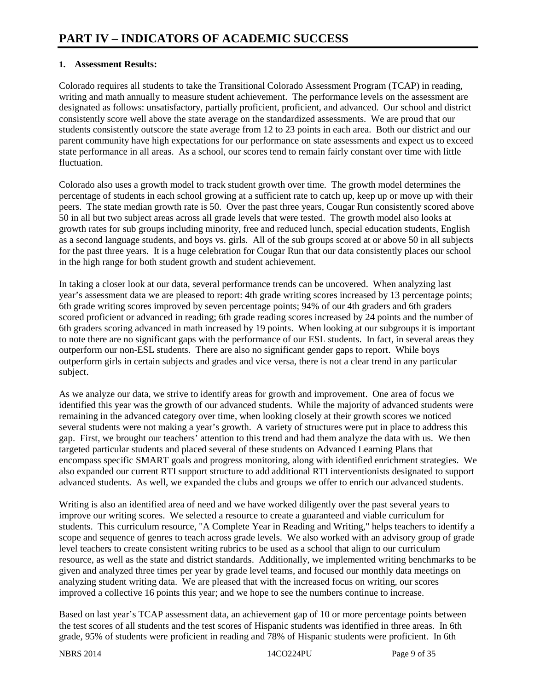### **1. Assessment Results:**

Colorado requires all students to take the Transitional Colorado Assessment Program (TCAP) in reading, writing and math annually to measure student achievement. The performance levels on the assessment are designated as follows: unsatisfactory, partially proficient, proficient, and advanced. Our school and district consistently score well above the state average on the standardized assessments. We are proud that our students consistently outscore the state average from 12 to 23 points in each area. Both our district and our parent community have high expectations for our performance on state assessments and expect us to exceed state performance in all areas. As a school, our scores tend to remain fairly constant over time with little fluctuation.

Colorado also uses a growth model to track student growth over time. The growth model determines the percentage of students in each school growing at a sufficient rate to catch up, keep up or move up with their peers. The state median growth rate is 50. Over the past three years, Cougar Run consistently scored above 50 in all but two subject areas across all grade levels that were tested. The growth model also looks at growth rates for sub groups including minority, free and reduced lunch, special education students, English as a second language students, and boys vs. girls. All of the sub groups scored at or above 50 in all subjects for the past three years. It is a huge celebration for Cougar Run that our data consistently places our school in the high range for both student growth and student achievement.

In taking a closer look at our data, several performance trends can be uncovered. When analyzing last year's assessment data we are pleased to report: 4th grade writing scores increased by 13 percentage points; 6th grade writing scores improved by seven percentage points; 94% of our 4th graders and 6th graders scored proficient or advanced in reading; 6th grade reading scores increased by 24 points and the number of 6th graders scoring advanced in math increased by 19 points. When looking at our subgroups it is important to note there are no significant gaps with the performance of our ESL students. In fact, in several areas they outperform our non-ESL students. There are also no significant gender gaps to report. While boys outperform girls in certain subjects and grades and vice versa, there is not a clear trend in any particular subject.

As we analyze our data, we strive to identify areas for growth and improvement. One area of focus we identified this year was the growth of our advanced students. While the majority of advanced students were remaining in the advanced category over time, when looking closely at their growth scores we noticed several students were not making a year's growth. A variety of structures were put in place to address this gap. First, we brought our teachers' attention to this trend and had them analyze the data with us. We then targeted particular students and placed several of these students on Advanced Learning Plans that encompass specific SMART goals and progress monitoring, along with identified enrichment strategies. We also expanded our current RTI support structure to add additional RTI interventionists designated to support advanced students. As well, we expanded the clubs and groups we offer to enrich our advanced students.

Writing is also an identified area of need and we have worked diligently over the past several years to improve our writing scores. We selected a resource to create a guaranteed and viable curriculum for students. This curriculum resource, "A Complete Year in Reading and Writing," helps teachers to identify a scope and sequence of genres to teach across grade levels. We also worked with an advisory group of grade level teachers to create consistent writing rubrics to be used as a school that align to our curriculum resource, as well as the state and district standards. Additionally, we implemented writing benchmarks to be given and analyzed three times per year by grade level teams, and focused our monthly data meetings on analyzing student writing data. We are pleased that with the increased focus on writing, our scores improved a collective 16 points this year; and we hope to see the numbers continue to increase.

Based on last year's TCAP assessment data, an achievement gap of 10 or more percentage points between the test scores of all students and the test scores of Hispanic students was identified in three areas. In 6th grade, 95% of students were proficient in reading and 78% of Hispanic students were proficient. In 6th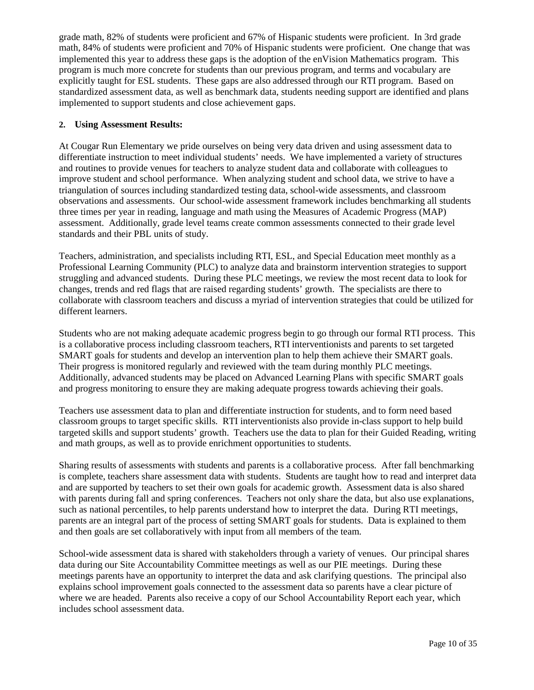grade math, 82% of students were proficient and 67% of Hispanic students were proficient. In 3rd grade math, 84% of students were proficient and 70% of Hispanic students were proficient. One change that was implemented this year to address these gaps is the adoption of the enVision Mathematics program. This program is much more concrete for students than our previous program, and terms and vocabulary are explicitly taught for ESL students. These gaps are also addressed through our RTI program. Based on standardized assessment data, as well as benchmark data, students needing support are identified and plans implemented to support students and close achievement gaps.

### **2. Using Assessment Results:**

At Cougar Run Elementary we pride ourselves on being very data driven and using assessment data to differentiate instruction to meet individual students' needs. We have implemented a variety of structures and routines to provide venues for teachers to analyze student data and collaborate with colleagues to improve student and school performance. When analyzing student and school data, we strive to have a triangulation of sources including standardized testing data, school-wide assessments, and classroom observations and assessments. Our school-wide assessment framework includes benchmarking all students three times per year in reading, language and math using the Measures of Academic Progress (MAP) assessment. Additionally, grade level teams create common assessments connected to their grade level standards and their PBL units of study.

Teachers, administration, and specialists including RTI, ESL, and Special Education meet monthly as a Professional Learning Community (PLC) to analyze data and brainstorm intervention strategies to support struggling and advanced students. During these PLC meetings, we review the most recent data to look for changes, trends and red flags that are raised regarding students' growth. The specialists are there to collaborate with classroom teachers and discuss a myriad of intervention strategies that could be utilized for different learners.

Students who are not making adequate academic progress begin to go through our formal RTI process. This is a collaborative process including classroom teachers, RTI interventionists and parents to set targeted SMART goals for students and develop an intervention plan to help them achieve their SMART goals. Their progress is monitored regularly and reviewed with the team during monthly PLC meetings. Additionally, advanced students may be placed on Advanced Learning Plans with specific SMART goals and progress monitoring to ensure they are making adequate progress towards achieving their goals.

Teachers use assessment data to plan and differentiate instruction for students, and to form need based classroom groups to target specific skills. RTI interventionists also provide in-class support to help build targeted skills and support students' growth. Teachers use the data to plan for their Guided Reading, writing and math groups, as well as to provide enrichment opportunities to students.

Sharing results of assessments with students and parents is a collaborative process. After fall benchmarking is complete, teachers share assessment data with students. Students are taught how to read and interpret data and are supported by teachers to set their own goals for academic growth. Assessment data is also shared with parents during fall and spring conferences. Teachers not only share the data, but also use explanations, such as national percentiles, to help parents understand how to interpret the data. During RTI meetings, parents are an integral part of the process of setting SMART goals for students. Data is explained to them and then goals are set collaboratively with input from all members of the team.

School-wide assessment data is shared with stakeholders through a variety of venues. Our principal shares data during our Site Accountability Committee meetings as well as our PIE meetings. During these meetings parents have an opportunity to interpret the data and ask clarifying questions. The principal also explains school improvement goals connected to the assessment data so parents have a clear picture of where we are headed. Parents also receive a copy of our School Accountability Report each year, which includes school assessment data.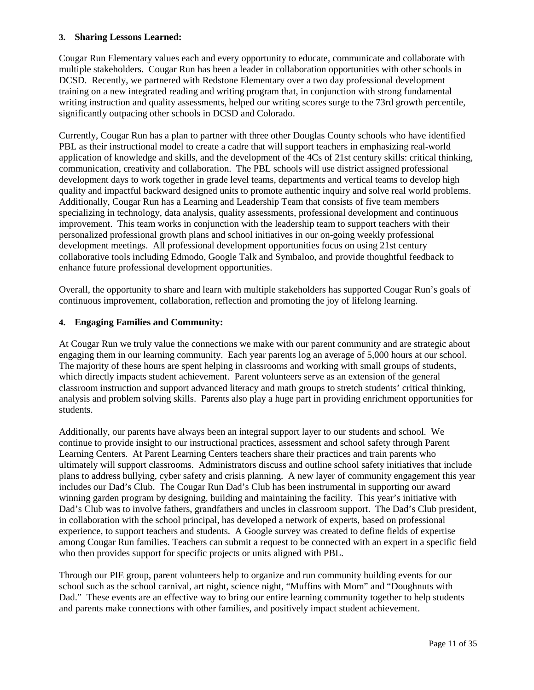#### **3. Sharing Lessons Learned:**

Cougar Run Elementary values each and every opportunity to educate, communicate and collaborate with multiple stakeholders. Cougar Run has been a leader in collaboration opportunities with other schools in DCSD. Recently, we partnered with Redstone Elementary over a two day professional development training on a new integrated reading and writing program that, in conjunction with strong fundamental writing instruction and quality assessments, helped our writing scores surge to the 73rd growth percentile, significantly outpacing other schools in DCSD and Colorado.

Currently, Cougar Run has a plan to partner with three other Douglas County schools who have identified PBL as their instructional model to create a cadre that will support teachers in emphasizing real-world application of knowledge and skills, and the development of the 4Cs of 21st century skills: critical thinking, communication, creativity and collaboration. The PBL schools will use district assigned professional development days to work together in grade level teams, departments and vertical teams to develop high quality and impactful backward designed units to promote authentic inquiry and solve real world problems. Additionally, Cougar Run has a Learning and Leadership Team that consists of five team members specializing in technology, data analysis, quality assessments, professional development and continuous improvement. This team works in conjunction with the leadership team to support teachers with their personalized professional growth plans and school initiatives in our on-going weekly professional development meetings. All professional development opportunities focus on using 21st century collaborative tools including Edmodo, Google Talk and Symbaloo, and provide thoughtful feedback to enhance future professional development opportunities.

Overall, the opportunity to share and learn with multiple stakeholders has supported Cougar Run's goals of continuous improvement, collaboration, reflection and promoting the joy of lifelong learning.

#### **4. Engaging Families and Community:**

At Cougar Run we truly value the connections we make with our parent community and are strategic about engaging them in our learning community. Each year parents log an average of 5,000 hours at our school. The majority of these hours are spent helping in classrooms and working with small groups of students, which directly impacts student achievement. Parent volunteers serve as an extension of the general classroom instruction and support advanced literacy and math groups to stretch students' critical thinking, analysis and problem solving skills. Parents also play a huge part in providing enrichment opportunities for students.

Additionally, our parents have always been an integral support layer to our students and school. We continue to provide insight to our instructional practices, assessment and school safety through Parent Learning Centers. At Parent Learning Centers teachers share their practices and train parents who ultimately will support classrooms. Administrators discuss and outline school safety initiatives that include plans to address bullying, cyber safety and crisis planning. A new layer of community engagement this year includes our Dad's Club. The Cougar Run Dad's Club has been instrumental in supporting our award winning garden program by designing, building and maintaining the facility. This year's initiative with Dad's Club was to involve fathers, grandfathers and uncles in classroom support. The Dad's Club president, in collaboration with the school principal, has developed a network of experts, based on professional experience, to support teachers and students. A Google survey was created to define fields of expertise among Cougar Run families. Teachers can submit a request to be connected with an expert in a specific field who then provides support for specific projects or units aligned with PBL.

Through our PIE group, parent volunteers help to organize and run community building events for our school such as the school carnival, art night, science night, "Muffins with Mom" and "Doughnuts with Dad." These events are an effective way to bring our entire learning community together to help students and parents make connections with other families, and positively impact student achievement.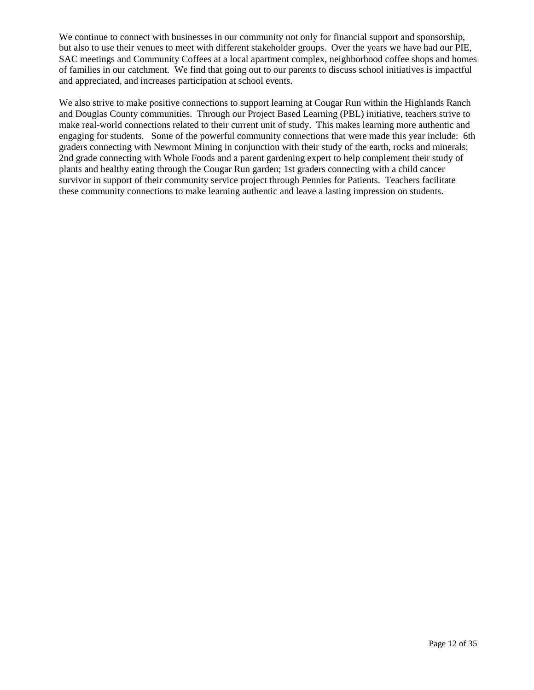We continue to connect with businesses in our community not only for financial support and sponsorship, but also to use their venues to meet with different stakeholder groups. Over the years we have had our PIE, SAC meetings and Community Coffees at a local apartment complex, neighborhood coffee shops and homes of families in our catchment. We find that going out to our parents to discuss school initiatives is impactful and appreciated, and increases participation at school events.

We also strive to make positive connections to support learning at Cougar Run within the Highlands Ranch and Douglas County communities. Through our Project Based Learning (PBL) initiative, teachers strive to make real-world connections related to their current unit of study. This makes learning more authentic and engaging for students. Some of the powerful community connections that were made this year include: 6th graders connecting with Newmont Mining in conjunction with their study of the earth, rocks and minerals; 2nd grade connecting with Whole Foods and a parent gardening expert to help complement their study of plants and healthy eating through the Cougar Run garden; 1st graders connecting with a child cancer survivor in support of their community service project through Pennies for Patients. Teachers facilitate these community connections to make learning authentic and leave a lasting impression on students.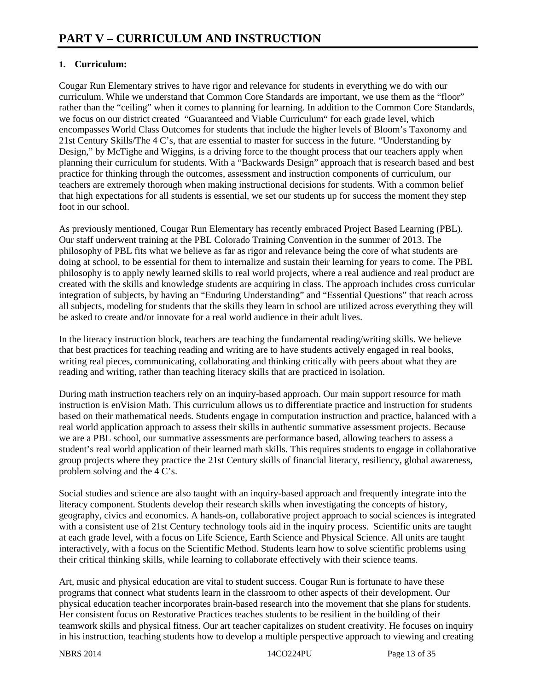### **1. Curriculum:**

Cougar Run Elementary strives to have rigor and relevance for students in everything we do with our curriculum. While we understand that Common Core Standards are important, we use them as the "floor" rather than the "ceiling" when it comes to planning for learning. In addition to the Common Core Standards, we focus on our district created "Guaranteed and Viable Curriculum" for each grade level, which encompasses World Class Outcomes for students that include the higher levels of Bloom's Taxonomy and 21st Century Skills/The 4 C's, that are essential to master for success in the future. "Understanding by Design," by McTighe and Wiggins, is a driving force to the thought process that our teachers apply when planning their curriculum for students. With a "Backwards Design" approach that is research based and best practice for thinking through the outcomes, assessment and instruction components of curriculum, our teachers are extremely thorough when making instructional decisions for students. With a common belief that high expectations for all students is essential, we set our students up for success the moment they step foot in our school.

As previously mentioned, Cougar Run Elementary has recently embraced Project Based Learning (PBL). Our staff underwent training at the PBL Colorado Training Convention in the summer of 2013. The philosophy of PBL fits what we believe as far as rigor and relevance being the core of what students are doing at school, to be essential for them to internalize and sustain their learning for years to come. The PBL philosophy is to apply newly learned skills to real world projects, where a real audience and real product are created with the skills and knowledge students are acquiring in class. The approach includes cross curricular integration of subjects, by having an "Enduring Understanding" and "Essential Questions" that reach across all subjects, modeling for students that the skills they learn in school are utilized across everything they will be asked to create and/or innovate for a real world audience in their adult lives.

In the literacy instruction block, teachers are teaching the fundamental reading/writing skills. We believe that best practices for teaching reading and writing are to have students actively engaged in real books, writing real pieces, communicating, collaborating and thinking critically with peers about what they are reading and writing, rather than teaching literacy skills that are practiced in isolation.

During math instruction teachers rely on an inquiry-based approach. Our main support resource for math instruction is enVision Math. This curriculum allows us to differentiate practice and instruction for students based on their mathematical needs. Students engage in computation instruction and practice, balanced with a real world application approach to assess their skills in authentic summative assessment projects. Because we are a PBL school, our summative assessments are performance based, allowing teachers to assess a student's real world application of their learned math skills. This requires students to engage in collaborative group projects where they practice the 21st Century skills of financial literacy, resiliency, global awareness, problem solving and the 4 C's.

Social studies and science are also taught with an inquiry-based approach and frequently integrate into the literacy component. Students develop their research skills when investigating the concepts of history, geography, civics and economics. A hands-on, collaborative project approach to social sciences is integrated with a consistent use of 21st Century technology tools aid in the inquiry process. Scientific units are taught at each grade level, with a focus on Life Science, Earth Science and Physical Science. All units are taught interactively, with a focus on the Scientific Method. Students learn how to solve scientific problems using their critical thinking skills, while learning to collaborate effectively with their science teams.

Art, music and physical education are vital to student success. Cougar Run is fortunate to have these programs that connect what students learn in the classroom to other aspects of their development. Our physical education teacher incorporates brain-based research into the movement that she plans for students. Her consistent focus on Restorative Practices teaches students to be resilient in the building of their teamwork skills and physical fitness. Our art teacher capitalizes on student creativity. He focuses on inquiry in his instruction, teaching students how to develop a multiple perspective approach to viewing and creating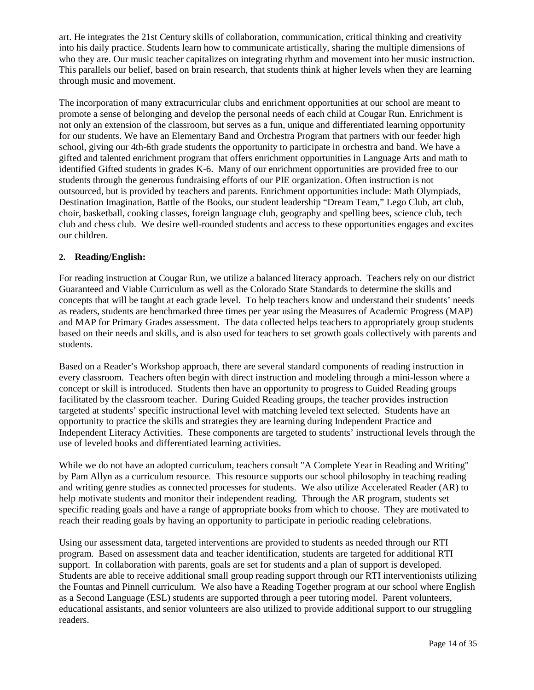art. He integrates the 21st Century skills of collaboration, communication, critical thinking and creativity into his daily practice. Students learn how to communicate artistically, sharing the multiple dimensions of who they are. Our music teacher capitalizes on integrating rhythm and movement into her music instruction. This parallels our belief, based on brain research, that students think at higher levels when they are learning through music and movement.

The incorporation of many extracurricular clubs and enrichment opportunities at our school are meant to promote a sense of belonging and develop the personal needs of each child at Cougar Run. Enrichment is not only an extension of the classroom, but serves as a fun, unique and differentiated learning opportunity for our students. We have an Elementary Band and Orchestra Program that partners with our feeder high school, giving our 4th-6th grade students the opportunity to participate in orchestra and band. We have a gifted and talented enrichment program that offers enrichment opportunities in Language Arts and math to identified Gifted students in grades K-6. Many of our enrichment opportunities are provided free to our students through the generous fundraising efforts of our PIE organization. Often instruction is not outsourced, but is provided by teachers and parents. Enrichment opportunities include: Math Olympiads, Destination Imagination, Battle of the Books, our student leadership "Dream Team," Lego Club, art club, choir, basketball, cooking classes, foreign language club, geography and spelling bees, science club, tech club and chess club. We desire well-rounded students and access to these opportunities engages and excites our children.

### **2. Reading/English:**

For reading instruction at Cougar Run, we utilize a balanced literacy approach. Teachers rely on our district Guaranteed and Viable Curriculum as well as the Colorado State Standards to determine the skills and concepts that will be taught at each grade level. To help teachers know and understand their students' needs as readers, students are benchmarked three times per year using the Measures of Academic Progress (MAP) and MAP for Primary Grades assessment. The data collected helps teachers to appropriately group students based on their needs and skills, and is also used for teachers to set growth goals collectively with parents and students.

Based on a Reader's Workshop approach, there are several standard components of reading instruction in every classroom. Teachers often begin with direct instruction and modeling through a mini-lesson where a concept or skill is introduced. Students then have an opportunity to progress to Guided Reading groups facilitated by the classroom teacher. During Guided Reading groups, the teacher provides instruction targeted at students' specific instructional level with matching leveled text selected. Students have an opportunity to practice the skills and strategies they are learning during Independent Practice and Independent Literacy Activities. These components are targeted to students' instructional levels through the use of leveled books and differentiated learning activities.

While we do not have an adopted curriculum, teachers consult "A Complete Year in Reading and Writing" by Pam Allyn as a curriculum resource. This resource supports our school philosophy in teaching reading and writing genre studies as connected processes for students. We also utilize Accelerated Reader (AR) to help motivate students and monitor their independent reading. Through the AR program, students set specific reading goals and have a range of appropriate books from which to choose. They are motivated to reach their reading goals by having an opportunity to participate in periodic reading celebrations.

Using our assessment data, targeted interventions are provided to students as needed through our RTI program. Based on assessment data and teacher identification, students are targeted for additional RTI support. In collaboration with parents, goals are set for students and a plan of support is developed. Students are able to receive additional small group reading support through our RTI interventionists utilizing the Fountas and Pinnell curriculum. We also have a Reading Together program at our school where English as a Second Language (ESL) students are supported through a peer tutoring model. Parent volunteers, educational assistants, and senior volunteers are also utilized to provide additional support to our struggling readers.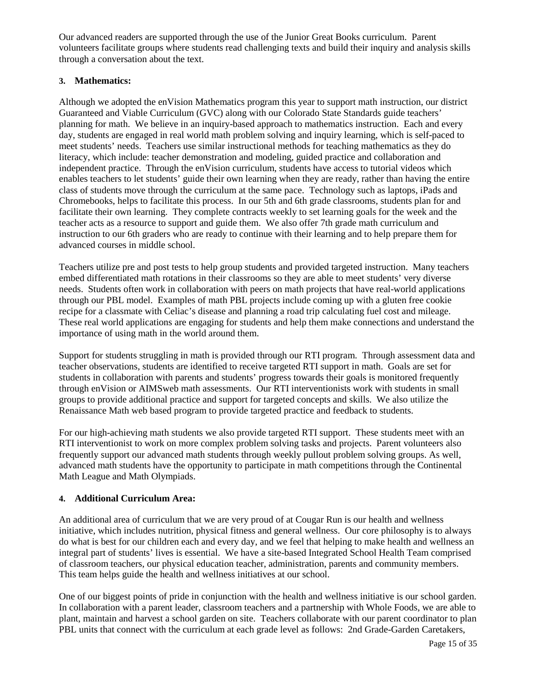Our advanced readers are supported through the use of the Junior Great Books curriculum. Parent volunteers facilitate groups where students read challenging texts and build their inquiry and analysis skills through a conversation about the text.

### **3. Mathematics:**

Although we adopted the enVision Mathematics program this year to support math instruction, our district Guaranteed and Viable Curriculum (GVC) along with our Colorado State Standards guide teachers' planning for math. We believe in an inquiry-based approach to mathematics instruction. Each and every day, students are engaged in real world math problem solving and inquiry learning, which is self-paced to meet students' needs. Teachers use similar instructional methods for teaching mathematics as they do literacy, which include: teacher demonstration and modeling, guided practice and collaboration and independent practice. Through the enVision curriculum, students have access to tutorial videos which enables teachers to let students' guide their own learning when they are ready, rather than having the entire class of students move through the curriculum at the same pace. Technology such as laptops, iPads and Chromebooks, helps to facilitate this process. In our 5th and 6th grade classrooms, students plan for and facilitate their own learning. They complete contracts weekly to set learning goals for the week and the teacher acts as a resource to support and guide them. We also offer 7th grade math curriculum and instruction to our 6th graders who are ready to continue with their learning and to help prepare them for advanced courses in middle school.

Teachers utilize pre and post tests to help group students and provided targeted instruction. Many teachers embed differentiated math rotations in their classrooms so they are able to meet students' very diverse needs. Students often work in collaboration with peers on math projects that have real-world applications through our PBL model. Examples of math PBL projects include coming up with a gluten free cookie recipe for a classmate with Celiac's disease and planning a road trip calculating fuel cost and mileage. These real world applications are engaging for students and help them make connections and understand the importance of using math in the world around them.

Support for students struggling in math is provided through our RTI program. Through assessment data and teacher observations, students are identified to receive targeted RTI support in math. Goals are set for students in collaboration with parents and students' progress towards their goals is monitored frequently through enVision or AIMSweb math assessments. Our RTI interventionists work with students in small groups to provide additional practice and support for targeted concepts and skills. We also utilize the Renaissance Math web based program to provide targeted practice and feedback to students.

For our high-achieving math students we also provide targeted RTI support. These students meet with an RTI interventionist to work on more complex problem solving tasks and projects. Parent volunteers also frequently support our advanced math students through weekly pullout problem solving groups. As well, advanced math students have the opportunity to participate in math competitions through the Continental Math League and Math Olympiads.

### **4. Additional Curriculum Area:**

An additional area of curriculum that we are very proud of at Cougar Run is our health and wellness initiative, which includes nutrition, physical fitness and general wellness. Our core philosophy is to always do what is best for our children each and every day, and we feel that helping to make health and wellness an integral part of students' lives is essential. We have a site-based Integrated School Health Team comprised of classroom teachers, our physical education teacher, administration, parents and community members. This team helps guide the health and wellness initiatives at our school.

One of our biggest points of pride in conjunction with the health and wellness initiative is our school garden. In collaboration with a parent leader, classroom teachers and a partnership with Whole Foods, we are able to plant, maintain and harvest a school garden on site. Teachers collaborate with our parent coordinator to plan PBL units that connect with the curriculum at each grade level as follows: 2nd Grade-Garden Caretakers,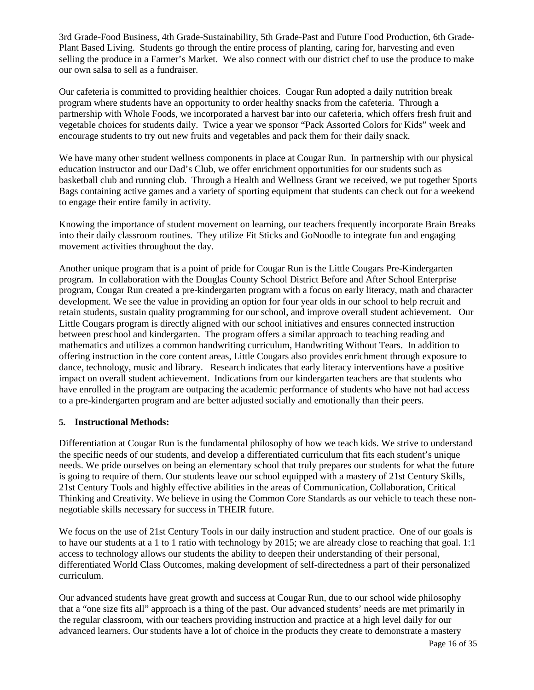3rd Grade-Food Business, 4th Grade-Sustainability, 5th Grade-Past and Future Food Production, 6th Grade-Plant Based Living. Students go through the entire process of planting, caring for, harvesting and even selling the produce in a Farmer's Market. We also connect with our district chef to use the produce to make our own salsa to sell as a fundraiser.

Our cafeteria is committed to providing healthier choices. Cougar Run adopted a daily nutrition break program where students have an opportunity to order healthy snacks from the cafeteria. Through a partnership with Whole Foods, we incorporated a harvest bar into our cafeteria, which offers fresh fruit and vegetable choices for students daily. Twice a year we sponsor "Pack Assorted Colors for Kids" week and encourage students to try out new fruits and vegetables and pack them for their daily snack.

We have many other student wellness components in place at Cougar Run. In partnership with our physical education instructor and our Dad's Club, we offer enrichment opportunities for our students such as basketball club and running club. Through a Health and Wellness Grant we received, we put together Sports Bags containing active games and a variety of sporting equipment that students can check out for a weekend to engage their entire family in activity.

Knowing the importance of student movement on learning, our teachers frequently incorporate Brain Breaks into their daily classroom routines. They utilize Fit Sticks and GoNoodle to integrate fun and engaging movement activities throughout the day.

Another unique program that is a point of pride for Cougar Run is the Little Cougars Pre-Kindergarten program. In collaboration with the Douglas County School District Before and After School Enterprise program, Cougar Run created a pre-kindergarten program with a focus on early literacy, math and character development. We see the value in providing an option for four year olds in our school to help recruit and retain students, sustain quality programming for our school, and improve overall student achievement. Our Little Cougars program is directly aligned with our school initiatives and ensures connected instruction between preschool and kindergarten. The program offers a similar approach to teaching reading and mathematics and utilizes a common handwriting curriculum, Handwriting Without Tears. In addition to offering instruction in the core content areas, Little Cougars also provides enrichment through exposure to dance, technology, music and library. Research indicates that early literacy interventions have a positive impact on overall student achievement. Indications from our kindergarten teachers are that students who have enrolled in the program are outpacing the academic performance of students who have not had access to a pre-kindergarten program and are better adjusted socially and emotionally than their peers.

### **5. Instructional Methods:**

Differentiation at Cougar Run is the fundamental philosophy of how we teach kids. We strive to understand the specific needs of our students, and develop a differentiated curriculum that fits each student's unique needs. We pride ourselves on being an elementary school that truly prepares our students for what the future is going to require of them. Our students leave our school equipped with a mastery of 21st Century Skills, 21st Century Tools and highly effective abilities in the areas of Communication, Collaboration, Critical Thinking and Creativity. We believe in using the Common Core Standards as our vehicle to teach these nonnegotiable skills necessary for success in THEIR future.

We focus on the use of 21st Century Tools in our daily instruction and student practice. One of our goals is to have our students at a 1 to 1 ratio with technology by 2015; we are already close to reaching that goal. 1:1 access to technology allows our students the ability to deepen their understanding of their personal, differentiated World Class Outcomes, making development of self-directedness a part of their personalized curriculum.

Our advanced students have great growth and success at Cougar Run, due to our school wide philosophy that a "one size fits all" approach is a thing of the past. Our advanced students' needs are met primarily in the regular classroom, with our teachers providing instruction and practice at a high level daily for our advanced learners. Our students have a lot of choice in the products they create to demonstrate a mastery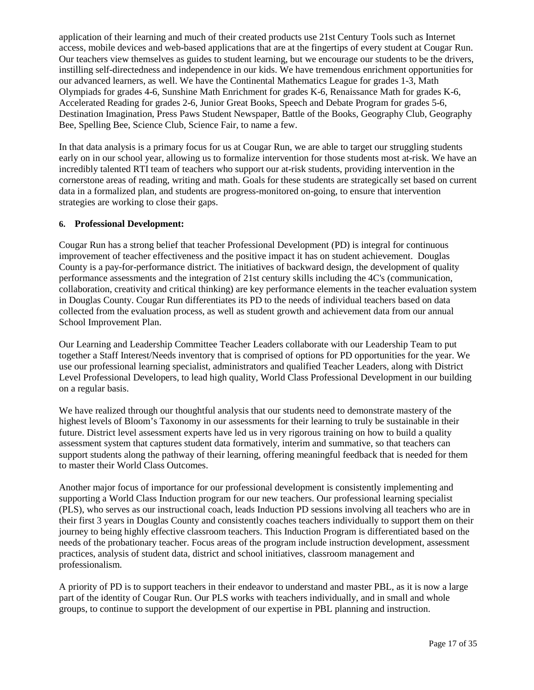application of their learning and much of their created products use 21st Century Tools such as Internet access, mobile devices and web-based applications that are at the fingertips of every student at Cougar Run. Our teachers view themselves as guides to student learning, but we encourage our students to be the drivers, instilling self-directedness and independence in our kids. We have tremendous enrichment opportunities for our advanced learners, as well. We have the Continental Mathematics League for grades 1-3, Math Olympiads for grades 4-6, Sunshine Math Enrichment for grades K-6, Renaissance Math for grades K-6, Accelerated Reading for grades 2-6, Junior Great Books, Speech and Debate Program for grades 5-6, Destination Imagination, Press Paws Student Newspaper, Battle of the Books, Geography Club, Geography Bee, Spelling Bee, Science Club, Science Fair, to name a few.

In that data analysis is a primary focus for us at Cougar Run, we are able to target our struggling students early on in our school year, allowing us to formalize intervention for those students most at-risk. We have an incredibly talented RTI team of teachers who support our at-risk students, providing intervention in the cornerstone areas of reading, writing and math. Goals for these students are strategically set based on current data in a formalized plan, and students are progress-monitored on-going, to ensure that intervention strategies are working to close their gaps.

#### **6. Professional Development:**

Cougar Run has a strong belief that teacher Professional Development (PD) is integral for continuous improvement of teacher effectiveness and the positive impact it has on student achievement. Douglas County is a pay-for-performance district. The initiatives of backward design, the development of quality performance assessments and the integration of 21st century skills including the 4C's (communication, collaboration, creativity and critical thinking) are key performance elements in the teacher evaluation system in Douglas County. Cougar Run differentiates its PD to the needs of individual teachers based on data collected from the evaluation process, as well as student growth and achievement data from our annual School Improvement Plan.

Our Learning and Leadership Committee Teacher Leaders collaborate with our Leadership Team to put together a Staff Interest/Needs inventory that is comprised of options for PD opportunities for the year. We use our professional learning specialist, administrators and qualified Teacher Leaders, along with District Level Professional Developers, to lead high quality, World Class Professional Development in our building on a regular basis.

We have realized through our thoughtful analysis that our students need to demonstrate mastery of the highest levels of Bloom's Taxonomy in our assessments for their learning to truly be sustainable in their future. District level assessment experts have led us in very rigorous training on how to build a quality assessment system that captures student data formatively, interim and summative, so that teachers can support students along the pathway of their learning, offering meaningful feedback that is needed for them to master their World Class Outcomes.

Another major focus of importance for our professional development is consistently implementing and supporting a World Class Induction program for our new teachers. Our professional learning specialist (PLS), who serves as our instructional coach, leads Induction PD sessions involving all teachers who are in their first 3 years in Douglas County and consistently coaches teachers individually to support them on their journey to being highly effective classroom teachers. This Induction Program is differentiated based on the needs of the probationary teacher. Focus areas of the program include instruction development, assessment practices, analysis of student data, district and school initiatives, classroom management and professionalism.

A priority of PD is to support teachers in their endeavor to understand and master PBL, as it is now a large part of the identity of Cougar Run. Our PLS works with teachers individually, and in small and whole groups, to continue to support the development of our expertise in PBL planning and instruction.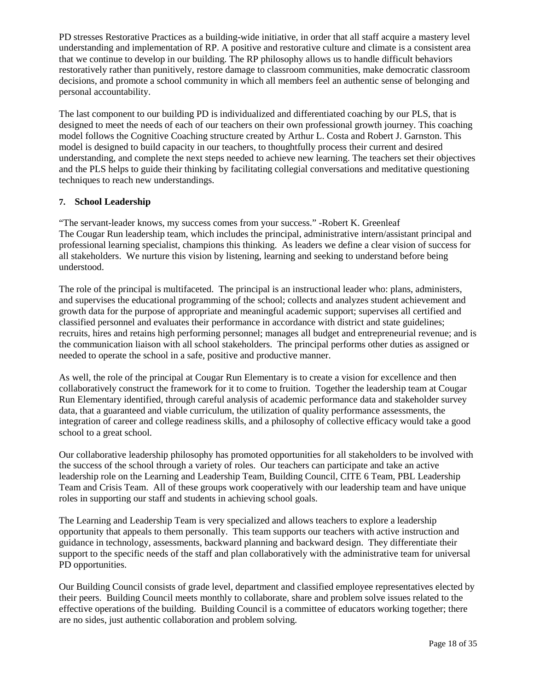PD stresses Restorative Practices as a building-wide initiative, in order that all staff acquire a mastery level understanding and implementation of RP. A positive and restorative culture and climate is a consistent area that we continue to develop in our building. The RP philosophy allows us to handle difficult behaviors restoratively rather than punitively, restore damage to classroom communities, make democratic classroom decisions, and promote a school community in which all members feel an authentic sense of belonging and personal accountability.

The last component to our building PD is individualized and differentiated coaching by our PLS, that is designed to meet the needs of each of our teachers on their own professional growth journey. This coaching model follows the Cognitive Coaching structure created by Arthur L. Costa and Robert J. Garnston. This model is designed to build capacity in our teachers, to thoughtfully process their current and desired understanding, and complete the next steps needed to achieve new learning. The teachers set their objectives and the PLS helps to guide their thinking by facilitating collegial conversations and meditative questioning techniques to reach new understandings.

### **7. School Leadership**

"The servant-leader knows, my success comes from your success." -Robert K. Greenleaf The Cougar Run leadership team, which includes the principal, administrative intern/assistant principal and professional learning specialist, champions this thinking. As leaders we define a clear vision of success for all stakeholders. We nurture this vision by listening, learning and seeking to understand before being understood.

The role of the principal is multifaceted. The principal is an instructional leader who: plans, administers, and supervises the educational programming of the school; collects and analyzes student achievement and growth data for the purpose of appropriate and meaningful academic support; supervises all certified and classified personnel and evaluates their performance in accordance with district and state guidelines; recruits, hires and retains high performing personnel; manages all budget and entrepreneurial revenue; and is the communication liaison with all school stakeholders. The principal performs other duties as assigned or needed to operate the school in a safe, positive and productive manner.

As well, the role of the principal at Cougar Run Elementary is to create a vision for excellence and then collaboratively construct the framework for it to come to fruition. Together the leadership team at Cougar Run Elementary identified, through careful analysis of academic performance data and stakeholder survey data, that a guaranteed and viable curriculum, the utilization of quality performance assessments, the integration of career and college readiness skills, and a philosophy of collective efficacy would take a good school to a great school.

Our collaborative leadership philosophy has promoted opportunities for all stakeholders to be involved with the success of the school through a variety of roles. Our teachers can participate and take an active leadership role on the Learning and Leadership Team, Building Council, CITE 6 Team, PBL Leadership Team and Crisis Team. All of these groups work cooperatively with our leadership team and have unique roles in supporting our staff and students in achieving school goals.

The Learning and Leadership Team is very specialized and allows teachers to explore a leadership opportunity that appeals to them personally. This team supports our teachers with active instruction and guidance in technology, assessments, backward planning and backward design. They differentiate their support to the specific needs of the staff and plan collaboratively with the administrative team for universal PD opportunities.

Our Building Council consists of grade level, department and classified employee representatives elected by their peers. Building Council meets monthly to collaborate, share and problem solve issues related to the effective operations of the building. Building Council is a committee of educators working together; there are no sides, just authentic collaboration and problem solving.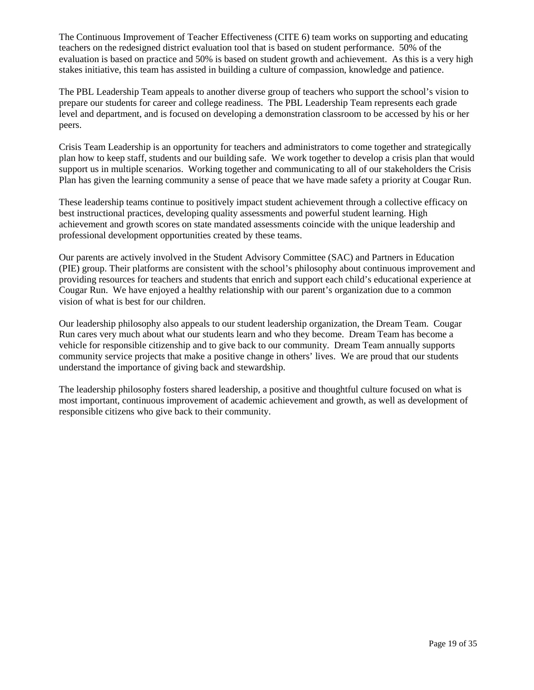The Continuous Improvement of Teacher Effectiveness (CITE 6) team works on supporting and educating teachers on the redesigned district evaluation tool that is based on student performance. 50% of the evaluation is based on practice and 50% is based on student growth and achievement. As this is a very high stakes initiative, this team has assisted in building a culture of compassion, knowledge and patience.

The PBL Leadership Team appeals to another diverse group of teachers who support the school's vision to prepare our students for career and college readiness. The PBL Leadership Team represents each grade level and department, and is focused on developing a demonstration classroom to be accessed by his or her peers.

Crisis Team Leadership is an opportunity for teachers and administrators to come together and strategically plan how to keep staff, students and our building safe. We work together to develop a crisis plan that would support us in multiple scenarios. Working together and communicating to all of our stakeholders the Crisis Plan has given the learning community a sense of peace that we have made safety a priority at Cougar Run.

These leadership teams continue to positively impact student achievement through a collective efficacy on best instructional practices, developing quality assessments and powerful student learning. High achievement and growth scores on state mandated assessments coincide with the unique leadership and professional development opportunities created by these teams.

Our parents are actively involved in the Student Advisory Committee (SAC) and Partners in Education (PIE) group. Their platforms are consistent with the school's philosophy about continuous improvement and providing resources for teachers and students that enrich and support each child's educational experience at Cougar Run. We have enjoyed a healthy relationship with our parent's organization due to a common vision of what is best for our children.

Our leadership philosophy also appeals to our student leadership organization, the Dream Team. Cougar Run cares very much about what our students learn and who they become. Dream Team has become a vehicle for responsible citizenship and to give back to our community. Dream Team annually supports community service projects that make a positive change in others' lives. We are proud that our students understand the importance of giving back and stewardship.

The leadership philosophy fosters shared leadership, a positive and thoughtful culture focused on what is most important, continuous improvement of academic achievement and growth, as well as development of responsible citizens who give back to their community.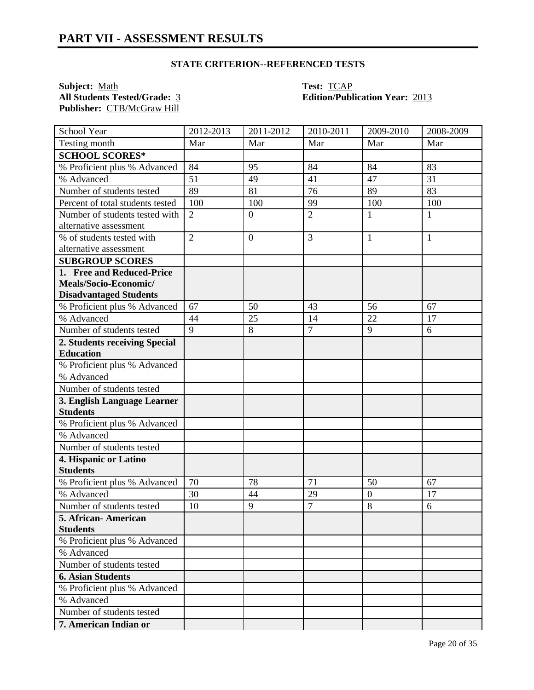**Subject:** <u>Math</u> **Test:** <u>TCAP</u><br> **All Students Tested/Grade:** 3 **Edition/Publ Publisher:** CTB/McGraw Hill

# **All Students Tested/Grade:** 3 **Edition/Publication Year:** 2013

| School Year                                | 2012-2013       | 2011-2012        | 2010-2011      | 2009-2010        | 2008-2009    |
|--------------------------------------------|-----------------|------------------|----------------|------------------|--------------|
| Testing month                              | Mar             | Mar              | Mar            | Mar              | Mar          |
| <b>SCHOOL SCORES*</b>                      |                 |                  |                |                  |              |
| % Proficient plus % Advanced               | 84              | 95               | 84             | 84               | 83           |
| % Advanced                                 | $\overline{51}$ | 49               | 41             | 47               | 31           |
| Number of students tested                  | 89              | 81               | 76             | 89               | 83           |
| Percent of total students tested           | 100             | 100              | 99             | 100              | 100          |
| Number of students tested with             | $\overline{2}$  | $\overline{0}$   | $\overline{2}$ | 1                | $\mathbf{1}$ |
| alternative assessment                     |                 |                  |                |                  |              |
| % of students tested with                  | $\overline{2}$  | $\boldsymbol{0}$ | 3              | 1                | 1            |
| alternative assessment                     |                 |                  |                |                  |              |
| <b>SUBGROUP SCORES</b>                     |                 |                  |                |                  |              |
| 1. Free and Reduced-Price                  |                 |                  |                |                  |              |
| Meals/Socio-Economic/                      |                 |                  |                |                  |              |
| <b>Disadvantaged Students</b>              |                 |                  |                |                  |              |
| % Proficient plus % Advanced               | 67              | 50               | 43             | 56               | 67           |
| % Advanced                                 | 44              | 25               | 14             | 22               | 17           |
| Number of students tested                  | $\overline{9}$  | 8                | $\overline{7}$ | 9                | 6            |
| 2. Students receiving Special              |                 |                  |                |                  |              |
| <b>Education</b>                           |                 |                  |                |                  |              |
| % Proficient plus % Advanced               |                 |                  |                |                  |              |
| % Advanced                                 |                 |                  |                |                  |              |
| Number of students tested                  |                 |                  |                |                  |              |
| 3. English Language Learner                |                 |                  |                |                  |              |
| <b>Students</b>                            |                 |                  |                |                  |              |
| % Proficient plus % Advanced<br>% Advanced |                 |                  |                |                  |              |
| Number of students tested                  |                 |                  |                |                  |              |
|                                            |                 |                  |                |                  |              |
| 4. Hispanic or Latino<br><b>Students</b>   |                 |                  |                |                  |              |
| % Proficient plus % Advanced               | 70              | 78               | 71             | 50               | 67           |
| % Advanced                                 | 30              | 44               | 29             | $\boldsymbol{0}$ | 17           |
| Number of students tested                  | 10              | 9                | $\overline{7}$ | 8                | 6            |
| 5. African-American                        |                 |                  |                |                  |              |
| <b>Students</b>                            |                 |                  |                |                  |              |
| % Proficient plus % Advanced               |                 |                  |                |                  |              |
| % Advanced                                 |                 |                  |                |                  |              |
| Number of students tested                  |                 |                  |                |                  |              |
| <b>6. Asian Students</b>                   |                 |                  |                |                  |              |
| % Proficient plus % Advanced               |                 |                  |                |                  |              |
| % Advanced                                 |                 |                  |                |                  |              |
| Number of students tested                  |                 |                  |                |                  |              |
| 7. American Indian or                      |                 |                  |                |                  |              |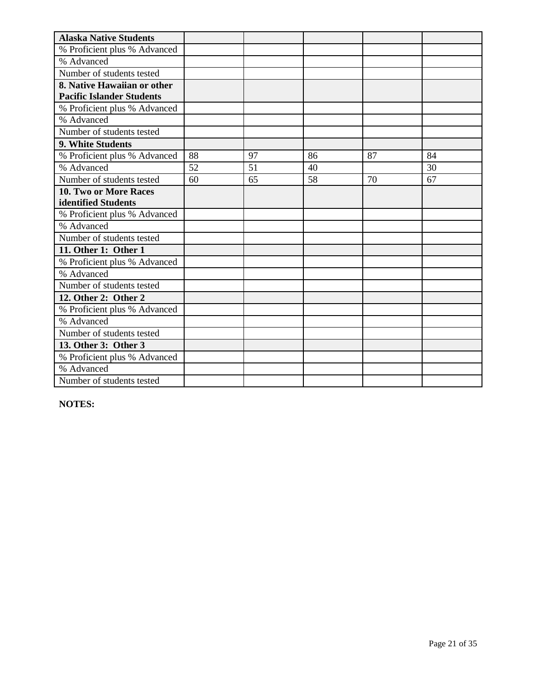| <b>Alaska Native Students</b>    |    |    |    |    |    |
|----------------------------------|----|----|----|----|----|
| % Proficient plus % Advanced     |    |    |    |    |    |
| % Advanced                       |    |    |    |    |    |
| Number of students tested        |    |    |    |    |    |
| 8. Native Hawaiian or other      |    |    |    |    |    |
| <b>Pacific Islander Students</b> |    |    |    |    |    |
| % Proficient plus % Advanced     |    |    |    |    |    |
| % Advanced                       |    |    |    |    |    |
| Number of students tested        |    |    |    |    |    |
| 9. White Students                |    |    |    |    |    |
| % Proficient plus % Advanced     | 88 | 97 | 86 | 87 | 84 |
| % Advanced                       | 52 | 51 | 40 |    | 30 |
| Number of students tested        | 60 | 65 | 58 | 70 | 67 |
| 10. Two or More Races            |    |    |    |    |    |
| identified Students              |    |    |    |    |    |
| % Proficient plus % Advanced     |    |    |    |    |    |
| % Advanced                       |    |    |    |    |    |
| Number of students tested        |    |    |    |    |    |
| 11. Other 1: Other 1             |    |    |    |    |    |
| % Proficient plus % Advanced     |    |    |    |    |    |
| % Advanced                       |    |    |    |    |    |
| Number of students tested        |    |    |    |    |    |
| 12. Other 2: Other 2             |    |    |    |    |    |
| % Proficient plus % Advanced     |    |    |    |    |    |
| % Advanced                       |    |    |    |    |    |
| Number of students tested        |    |    |    |    |    |
| 13. Other 3: Other 3             |    |    |    |    |    |
| % Proficient plus % Advanced     |    |    |    |    |    |
| % Advanced                       |    |    |    |    |    |
| Number of students tested        |    |    |    |    |    |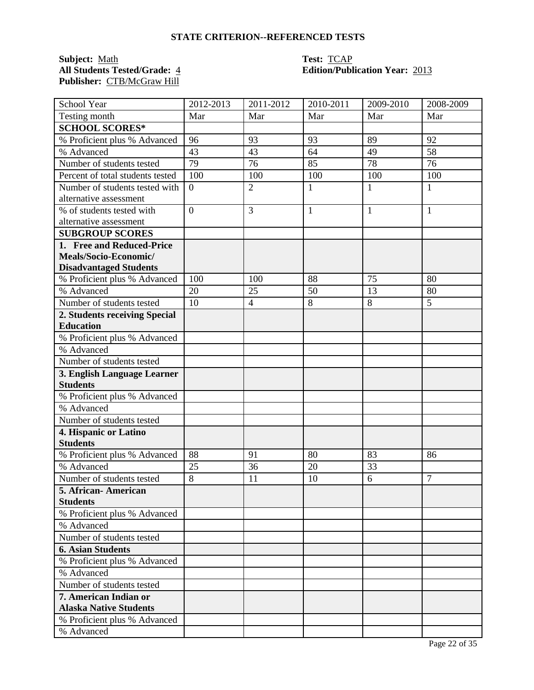**Subject:** <u>Math</u><br> **All Students Tested/Grade:** 4 **Test: TCAP**<br> **Edition/Publ Publisher:** CTB/McGraw Hill

### **All Students Tested/Grade:** 4 **Edition/Publication Year:** 2013

| School Year                      | 2012-2013        | 2011-2012      | 2010-2011    | 2009-2010 | 2008-2009 |
|----------------------------------|------------------|----------------|--------------|-----------|-----------|
| Testing month                    | Mar              | Mar            | Mar          | Mar       | Mar       |
| <b>SCHOOL SCORES*</b>            |                  |                |              |           |           |
| % Proficient plus % Advanced     | 96               | 93             | 93           | 89        | 92        |
| % Advanced                       | 43               | 43             | 64           | 49        | 58        |
| Number of students tested        | 79               | 76             | 85           | 78        | 76        |
| Percent of total students tested | 100              | 100            | 100          | 100       | 100       |
| Number of students tested with   | $\boldsymbol{0}$ | $\overline{2}$ | $\mathbf{1}$ | 1         | 1         |
| alternative assessment           |                  |                |              |           |           |
| % of students tested with        | $\overline{0}$   | 3              | $\mathbf{1}$ | 1         | 1         |
| alternative assessment           |                  |                |              |           |           |
| <b>SUBGROUP SCORES</b>           |                  |                |              |           |           |
| 1. Free and Reduced-Price        |                  |                |              |           |           |
| Meals/Socio-Economic/            |                  |                |              |           |           |
| <b>Disadvantaged Students</b>    |                  |                |              |           |           |
| % Proficient plus % Advanced     | 100              | 100            | 88           | 75        | 80        |
| % Advanced                       | 20               | 25             | 50           | 13        | 80        |
| Number of students tested        | 10               | $\overline{4}$ | 8            | 8         | 5         |
| 2. Students receiving Special    |                  |                |              |           |           |
| <b>Education</b>                 |                  |                |              |           |           |
| % Proficient plus % Advanced     |                  |                |              |           |           |
| % Advanced                       |                  |                |              |           |           |
| Number of students tested        |                  |                |              |           |           |
| 3. English Language Learner      |                  |                |              |           |           |
| <b>Students</b>                  |                  |                |              |           |           |
| % Proficient plus % Advanced     |                  |                |              |           |           |
| % Advanced                       |                  |                |              |           |           |
| Number of students tested        |                  |                |              |           |           |
| 4. Hispanic or Latino            |                  |                |              |           |           |
| <b>Students</b>                  |                  |                |              |           |           |
| % Proficient plus % Advanced     | 88               | 91             | 80           | 83        | 86        |
| % Advanced                       | 25               | 36             | 20           | 33        |           |
| Number of students tested        | $\overline{8}$   | 11             | 10           | 6         | 7         |
| 5. African- American             |                  |                |              |           |           |
| <b>Students</b>                  |                  |                |              |           |           |
| % Proficient plus % Advanced     |                  |                |              |           |           |
| % Advanced                       |                  |                |              |           |           |
| Number of students tested        |                  |                |              |           |           |
| <b>6. Asian Students</b>         |                  |                |              |           |           |
| % Proficient plus % Advanced     |                  |                |              |           |           |
| % Advanced                       |                  |                |              |           |           |
| Number of students tested        |                  |                |              |           |           |
| 7. American Indian or            |                  |                |              |           |           |
| <b>Alaska Native Students</b>    |                  |                |              |           |           |
| % Proficient plus % Advanced     |                  |                |              |           |           |
| % Advanced                       |                  |                |              |           |           |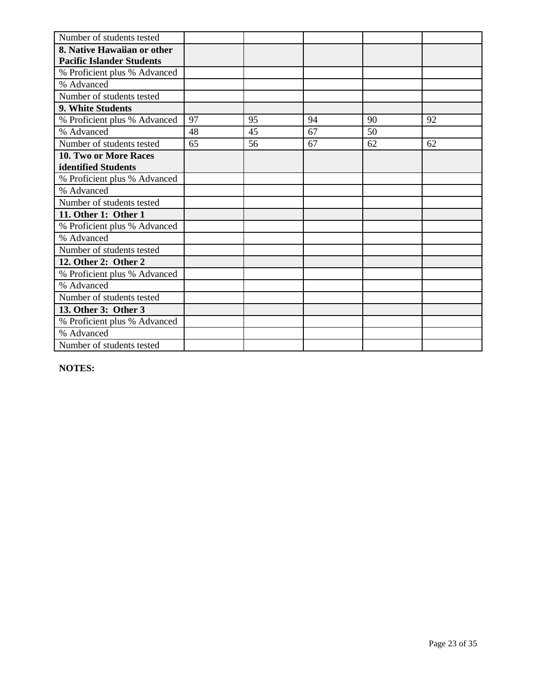| Number of students tested        |    |    |    |    |    |
|----------------------------------|----|----|----|----|----|
| 8. Native Hawaiian or other      |    |    |    |    |    |
| <b>Pacific Islander Students</b> |    |    |    |    |    |
| % Proficient plus % Advanced     |    |    |    |    |    |
| % Advanced                       |    |    |    |    |    |
| Number of students tested        |    |    |    |    |    |
| 9. White Students                |    |    |    |    |    |
| % Proficient plus % Advanced     | 97 | 95 | 94 | 90 | 92 |
| % Advanced                       | 48 | 45 | 67 | 50 |    |
| Number of students tested        | 65 | 56 | 67 | 62 | 62 |
| 10. Two or More Races            |    |    |    |    |    |
| identified Students              |    |    |    |    |    |
| % Proficient plus % Advanced     |    |    |    |    |    |
| % Advanced                       |    |    |    |    |    |
| Number of students tested        |    |    |    |    |    |
| 11. Other 1: Other 1             |    |    |    |    |    |
| % Proficient plus % Advanced     |    |    |    |    |    |
| % Advanced                       |    |    |    |    |    |
| Number of students tested        |    |    |    |    |    |
| 12. Other 2: Other 2             |    |    |    |    |    |
| % Proficient plus % Advanced     |    |    |    |    |    |
| % Advanced                       |    |    |    |    |    |
| Number of students tested        |    |    |    |    |    |
| 13. Other 3: Other 3             |    |    |    |    |    |
| % Proficient plus % Advanced     |    |    |    |    |    |
| % Advanced                       |    |    |    |    |    |
| Number of students tested        |    |    |    |    |    |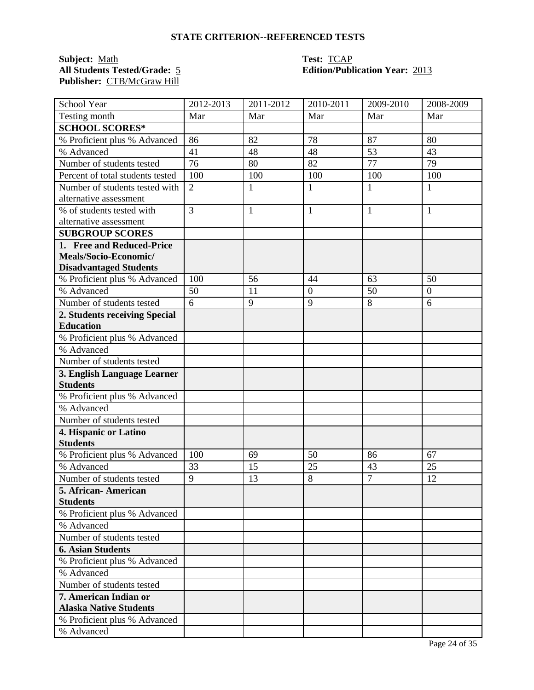**Subject:** Math **Test:** TCAP **Publisher:** CTB/McGraw Hill

### **All Students Tested/Grade:** 5 **Edition/Publication Year:** 2013

| School Year                      | 2012-2013      | 2011-2012    | 2010-2011        | 2009-2010      | 2008-2009        |
|----------------------------------|----------------|--------------|------------------|----------------|------------------|
| Testing month                    | Mar            | Mar          | Mar              | Mar            | Mar              |
| <b>SCHOOL SCORES*</b>            |                |              |                  |                |                  |
| % Proficient plus % Advanced     | 86             | 82           | 78               | 87             | 80               |
| % Advanced                       | 41             | 48           | 48               | 53             | 43               |
| Number of students tested        | 76             | 80           | 82               | 77             | 79               |
| Percent of total students tested | 100            | 100          | 100              | 100            | 100              |
| Number of students tested with   | $\overline{2}$ | $\mathbf{1}$ | $\mathbf{1}$     | 1              | 1                |
| alternative assessment           |                |              |                  |                |                  |
| % of students tested with        | $\overline{3}$ | $\mathbf{1}$ | $\mathbf{1}$     | $\mathbf{1}$   | $\mathbf{1}$     |
| alternative assessment           |                |              |                  |                |                  |
| <b>SUBGROUP SCORES</b>           |                |              |                  |                |                  |
| 1. Free and Reduced-Price        |                |              |                  |                |                  |
| Meals/Socio-Economic/            |                |              |                  |                |                  |
| <b>Disadvantaged Students</b>    |                |              |                  |                |                  |
| % Proficient plus % Advanced     | 100            | 56           | 44               | 63             | 50               |
| % Advanced                       | 50             | 11           | $\boldsymbol{0}$ | 50             | $\boldsymbol{0}$ |
| Number of students tested        | 6              | 9            | 9                | 8              | 6                |
| 2. Students receiving Special    |                |              |                  |                |                  |
| <b>Education</b>                 |                |              |                  |                |                  |
| % Proficient plus % Advanced     |                |              |                  |                |                  |
| % Advanced                       |                |              |                  |                |                  |
| Number of students tested        |                |              |                  |                |                  |
| 3. English Language Learner      |                |              |                  |                |                  |
| <b>Students</b>                  |                |              |                  |                |                  |
| % Proficient plus % Advanced     |                |              |                  |                |                  |
| % Advanced                       |                |              |                  |                |                  |
| Number of students tested        |                |              |                  |                |                  |
| 4. Hispanic or Latino            |                |              |                  |                |                  |
| <b>Students</b>                  |                |              |                  |                |                  |
| % Proficient plus % Advanced     | 100            | 69           | 50               | 86             | 67               |
| % Advanced                       | 33             | 15           | 25               | 43             | 25               |
| Number of students tested        | 9              | 13           | 8                | $\overline{7}$ | 12               |
| 5. African- American             |                |              |                  |                |                  |
| <b>Students</b>                  |                |              |                  |                |                  |
| % Proficient plus % Advanced     |                |              |                  |                |                  |
| % Advanced                       |                |              |                  |                |                  |
| Number of students tested        |                |              |                  |                |                  |
| <b>6. Asian Students</b>         |                |              |                  |                |                  |
| % Proficient plus % Advanced     |                |              |                  |                |                  |
| % Advanced                       |                |              |                  |                |                  |
| Number of students tested        |                |              |                  |                |                  |
| 7. American Indian or            |                |              |                  |                |                  |
| <b>Alaska Native Students</b>    |                |              |                  |                |                  |
| % Proficient plus % Advanced     |                |              |                  |                |                  |
| % Advanced                       |                |              |                  |                |                  |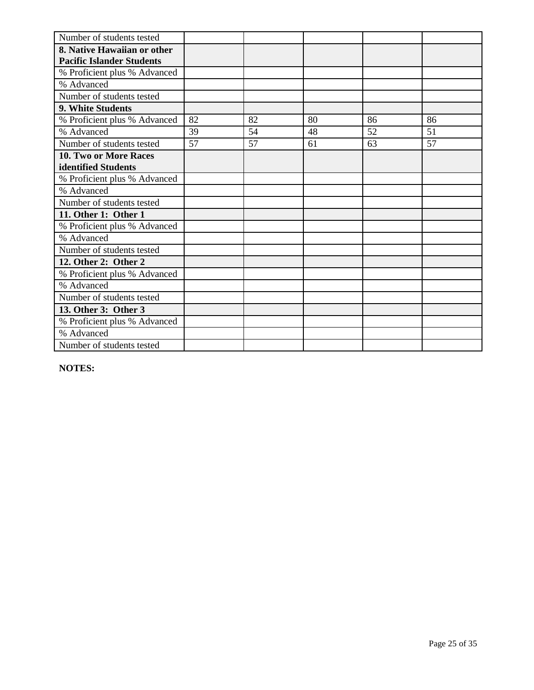| Number of students tested        |    |    |    |    |    |
|----------------------------------|----|----|----|----|----|
| 8. Native Hawaiian or other      |    |    |    |    |    |
| <b>Pacific Islander Students</b> |    |    |    |    |    |
| % Proficient plus % Advanced     |    |    |    |    |    |
| % Advanced                       |    |    |    |    |    |
| Number of students tested        |    |    |    |    |    |
| 9. White Students                |    |    |    |    |    |
| % Proficient plus % Advanced     | 82 | 82 | 80 | 86 | 86 |
| % Advanced                       | 39 | 54 | 48 | 52 | 51 |
| Number of students tested        | 57 | 57 | 61 | 63 | 57 |
| <b>10. Two or More Races</b>     |    |    |    |    |    |
| identified Students              |    |    |    |    |    |
| % Proficient plus % Advanced     |    |    |    |    |    |
| % Advanced                       |    |    |    |    |    |
| Number of students tested        |    |    |    |    |    |
| 11. Other 1: Other 1             |    |    |    |    |    |
| % Proficient plus % Advanced     |    |    |    |    |    |
| % Advanced                       |    |    |    |    |    |
| Number of students tested        |    |    |    |    |    |
| 12. Other 2: Other 2             |    |    |    |    |    |
| % Proficient plus % Advanced     |    |    |    |    |    |
| % Advanced                       |    |    |    |    |    |
| Number of students tested        |    |    |    |    |    |
| 13. Other 3: Other 3             |    |    |    |    |    |
| % Proficient plus % Advanced     |    |    |    |    |    |
| % Advanced                       |    |    |    |    |    |
| Number of students tested        |    |    |    |    |    |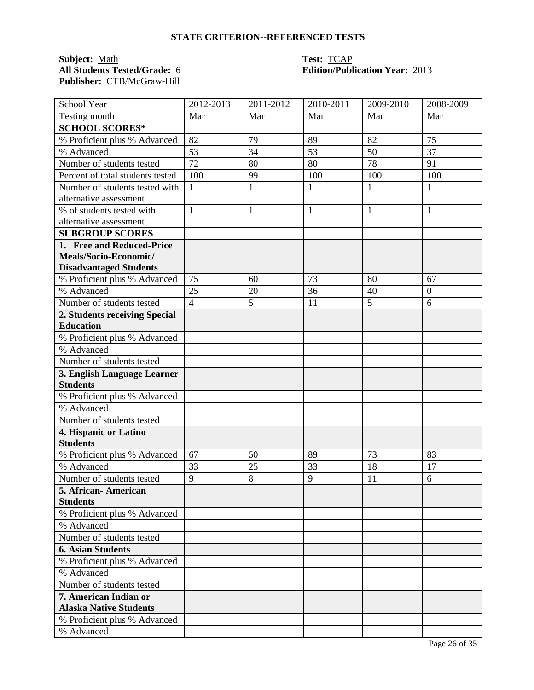**Subject:** <u>Math</u><br> **All Students Tested/Grade:** <u>6</u> **Test: TCAP**<br> **Edition/Publ** Publisher: CTB/McGraw-Hill

### **All Students Tested/Grade:** 6 **Edition/Publication Year:** 2013

| School Year                      | 2012-2013      | 2011-2012      | 2010-2011    | 2009-2010    | 2008-2009      |
|----------------------------------|----------------|----------------|--------------|--------------|----------------|
| Testing month                    | Mar            | Mar            | Mar          | Mar          | Mar            |
| <b>SCHOOL SCORES*</b>            |                |                |              |              |                |
| % Proficient plus % Advanced     | 82             | 79             | 89           | 82           | 75             |
| % Advanced                       | 53             | 34             | 53           | 50           | 37             |
| Number of students tested        | 72             | 80             | 80           | 78           | 91             |
| Percent of total students tested | 100            | 99             | 100          | 100          | 100            |
| Number of students tested with   | $\mathbf{1}$   | $\mathbf{1}$   | $\mathbf{1}$ | $\mathbf{1}$ | $\mathbf{1}$   |
| alternative assessment           |                |                |              |              |                |
| % of students tested with        | $\mathbf{1}$   | $\mathbf{1}$   | $\mathbf{1}$ | $\mathbf{1}$ | $\mathbf{1}$   |
| alternative assessment           |                |                |              |              |                |
| <b>SUBGROUP SCORES</b>           |                |                |              |              |                |
| 1. Free and Reduced-Price        |                |                |              |              |                |
| Meals/Socio-Economic/            |                |                |              |              |                |
| <b>Disadvantaged Students</b>    |                |                |              |              |                |
| % Proficient plus % Advanced     | 75             | 60             | 73           | 80           | 67             |
| % Advanced                       | 25             | 20             | 36           | 40           | $\overline{0}$ |
| Number of students tested        | $\overline{4}$ | 5              | 11           | 5            | 6              |
| 2. Students receiving Special    |                |                |              |              |                |
| <b>Education</b>                 |                |                |              |              |                |
| % Proficient plus % Advanced     |                |                |              |              |                |
| % Advanced                       |                |                |              |              |                |
| Number of students tested        |                |                |              |              |                |
| 3. English Language Learner      |                |                |              |              |                |
| <b>Students</b>                  |                |                |              |              |                |
| % Proficient plus % Advanced     |                |                |              |              |                |
| % Advanced                       |                |                |              |              |                |
| Number of students tested        |                |                |              |              |                |
| 4. Hispanic or Latino            |                |                |              |              |                |
| <b>Students</b>                  |                |                |              |              |                |
| % Proficient plus % Advanced     | 67             | 50             | 89           | 73           | 83             |
| % Advanced                       | 33             | 25             | 33           | 18           | 17             |
| Number of students tested        | $\overline{9}$ | $\overline{8}$ | 9            | 11           | 6              |
| 5. African - American            |                |                |              |              |                |
| <b>Students</b>                  |                |                |              |              |                |
| % Proficient plus % Advanced     |                |                |              |              |                |
| % Advanced                       |                |                |              |              |                |
| Number of students tested        |                |                |              |              |                |
| <b>6. Asian Students</b>         |                |                |              |              |                |
| % Proficient plus % Advanced     |                |                |              |              |                |
| % Advanced                       |                |                |              |              |                |
| Number of students tested        |                |                |              |              |                |
| 7. American Indian or            |                |                |              |              |                |
| <b>Alaska Native Students</b>    |                |                |              |              |                |
| % Proficient plus % Advanced     |                |                |              |              |                |
| % Advanced                       |                |                |              |              |                |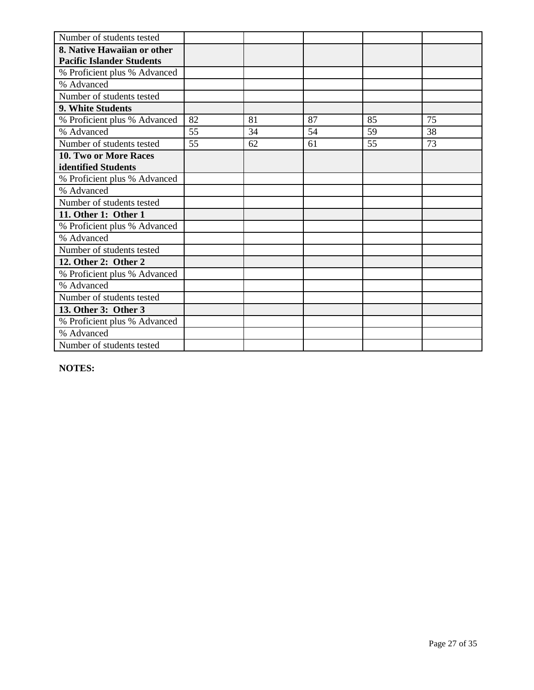| Number of students tested        |    |    |    |    |    |
|----------------------------------|----|----|----|----|----|
| 8. Native Hawaiian or other      |    |    |    |    |    |
| <b>Pacific Islander Students</b> |    |    |    |    |    |
| % Proficient plus % Advanced     |    |    |    |    |    |
| % Advanced                       |    |    |    |    |    |
| Number of students tested        |    |    |    |    |    |
| <b>9. White Students</b>         |    |    |    |    |    |
| % Proficient plus % Advanced     | 82 | 81 | 87 | 85 | 75 |
| % Advanced                       | 55 | 34 | 54 | 59 | 38 |
| Number of students tested        | 55 | 62 | 61 | 55 | 73 |
| 10. Two or More Races            |    |    |    |    |    |
| identified Students              |    |    |    |    |    |
| % Proficient plus % Advanced     |    |    |    |    |    |
| % Advanced                       |    |    |    |    |    |
| Number of students tested        |    |    |    |    |    |
| 11. Other 1: Other 1             |    |    |    |    |    |
| % Proficient plus % Advanced     |    |    |    |    |    |
| % Advanced                       |    |    |    |    |    |
| Number of students tested        |    |    |    |    |    |
| 12. Other 2: Other 2             |    |    |    |    |    |
| % Proficient plus % Advanced     |    |    |    |    |    |
| % Advanced                       |    |    |    |    |    |
| Number of students tested        |    |    |    |    |    |
| 13. Other 3: Other 3             |    |    |    |    |    |
| % Proficient plus % Advanced     |    |    |    |    |    |
| % Advanced                       |    |    |    |    |    |
| Number of students tested        |    |    |    |    |    |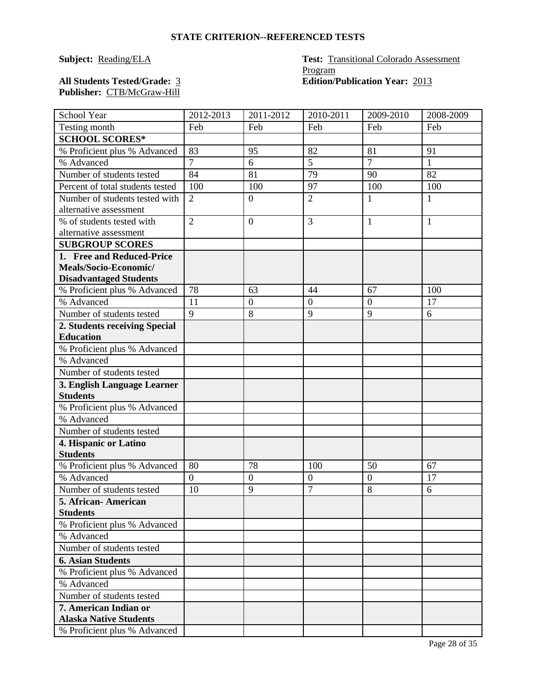### **Subject: Reading/ELA Test:** Transitional Colorado Assessment Program All Students Tested/Grade: 3 **Edition/Publication Year:** 2013

**Publisher:** CTB/McGraw-Hill

| School Year                      | 2012-2013      | 2011-2012        | 2010-2011      | 2009-2010        | 2008-2009    |
|----------------------------------|----------------|------------------|----------------|------------------|--------------|
| Testing month                    | Feb            | Feb              | Feb            | Feb              | Feb          |
| <b>SCHOOL SCORES*</b>            |                |                  |                |                  |              |
| % Proficient plus % Advanced     | 83             | 95               | 82             | 81               | 91           |
| % Advanced                       | $\overline{7}$ | 6                | 5              | $\overline{7}$   | $\mathbf{1}$ |
| Number of students tested        | 84             | 81               | 79             | 90               | 82           |
| Percent of total students tested | 100            | 100              | 97             | 100              | 100          |
| Number of students tested with   | $\overline{2}$ | $\boldsymbol{0}$ | $\overline{2}$ | $\mathbf{1}$     | $\mathbf{1}$ |
| alternative assessment           |                |                  |                |                  |              |
| % of students tested with        | $\overline{2}$ | $\boldsymbol{0}$ | 3              | 1                | 1            |
| alternative assessment           |                |                  |                |                  |              |
| <b>SUBGROUP SCORES</b>           |                |                  |                |                  |              |
| 1. Free and Reduced-Price        |                |                  |                |                  |              |
| Meals/Socio-Economic/            |                |                  |                |                  |              |
| <b>Disadvantaged Students</b>    |                |                  |                |                  |              |
| % Proficient plus % Advanced     | 78             | 63               | 44             | 67               | 100          |
| % Advanced                       | 11             | $\boldsymbol{0}$ | $\overline{0}$ | $\overline{0}$   | 17           |
| Number of students tested        | 9              | 8                | 9              | 9                | 6            |
| 2. Students receiving Special    |                |                  |                |                  |              |
| <b>Education</b>                 |                |                  |                |                  |              |
| % Proficient plus % Advanced     |                |                  |                |                  |              |
| % Advanced                       |                |                  |                |                  |              |
| Number of students tested        |                |                  |                |                  |              |
| 3. English Language Learner      |                |                  |                |                  |              |
| <b>Students</b>                  |                |                  |                |                  |              |
| % Proficient plus % Advanced     |                |                  |                |                  |              |
| % Advanced                       |                |                  |                |                  |              |
| Number of students tested        |                |                  |                |                  |              |
| 4. Hispanic or Latino            |                |                  |                |                  |              |
| <b>Students</b>                  |                |                  |                |                  |              |
| % Proficient plus % Advanced     | 80             | 78               | 100            | 50               | 67           |
| % Advanced                       | $\overline{0}$ | $\boldsymbol{0}$ | $\mathbf{0}$   | $\boldsymbol{0}$ | 17           |
| Number of students tested        | 10             | 9                | $\overline{7}$ | 8                | 6            |
| 5. African-American              |                |                  |                |                  |              |
| <b>Students</b>                  |                |                  |                |                  |              |
| % Proficient plus % Advanced     |                |                  |                |                  |              |
| % Advanced                       |                |                  |                |                  |              |
| Number of students tested        |                |                  |                |                  |              |
| <b>6. Asian Students</b>         |                |                  |                |                  |              |
| % Proficient plus % Advanced     |                |                  |                |                  |              |
| % Advanced                       |                |                  |                |                  |              |
| Number of students tested        |                |                  |                |                  |              |
| 7. American Indian or            |                |                  |                |                  |              |
| <b>Alaska Native Students</b>    |                |                  |                |                  |              |
| % Proficient plus % Advanced     |                |                  |                |                  |              |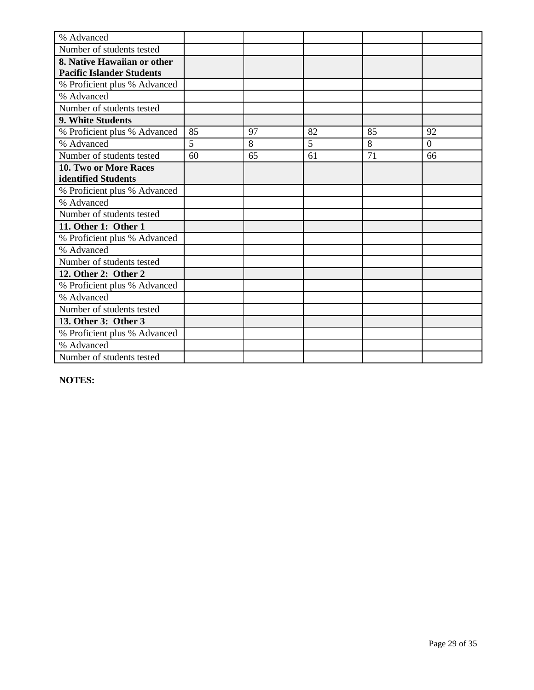| % Advanced                       |    |    |    |    |                |
|----------------------------------|----|----|----|----|----------------|
| Number of students tested        |    |    |    |    |                |
| 8. Native Hawaiian or other      |    |    |    |    |                |
| <b>Pacific Islander Students</b> |    |    |    |    |                |
| % Proficient plus % Advanced     |    |    |    |    |                |
| % Advanced                       |    |    |    |    |                |
| Number of students tested        |    |    |    |    |                |
| <b>9. White Students</b>         |    |    |    |    |                |
| % Proficient plus % Advanced     | 85 | 97 | 82 | 85 | 92             |
| % Advanced                       | 5  | 8  | 5  | 8  | $\overline{0}$ |
| Number of students tested        | 60 | 65 | 61 | 71 | 66             |
| 10. Two or More Races            |    |    |    |    |                |
| identified Students              |    |    |    |    |                |
| % Proficient plus % Advanced     |    |    |    |    |                |
| % Advanced                       |    |    |    |    |                |
| Number of students tested        |    |    |    |    |                |
| 11. Other 1: Other 1             |    |    |    |    |                |
| % Proficient plus % Advanced     |    |    |    |    |                |
| % Advanced                       |    |    |    |    |                |
| Number of students tested        |    |    |    |    |                |
| 12. Other 2: Other 2             |    |    |    |    |                |
| % Proficient plus % Advanced     |    |    |    |    |                |
| % Advanced                       |    |    |    |    |                |
| Number of students tested        |    |    |    |    |                |
| 13. Other 3: Other 3             |    |    |    |    |                |
| % Proficient plus % Advanced     |    |    |    |    |                |
| % Advanced                       |    |    |    |    |                |
| Number of students tested        |    |    |    |    |                |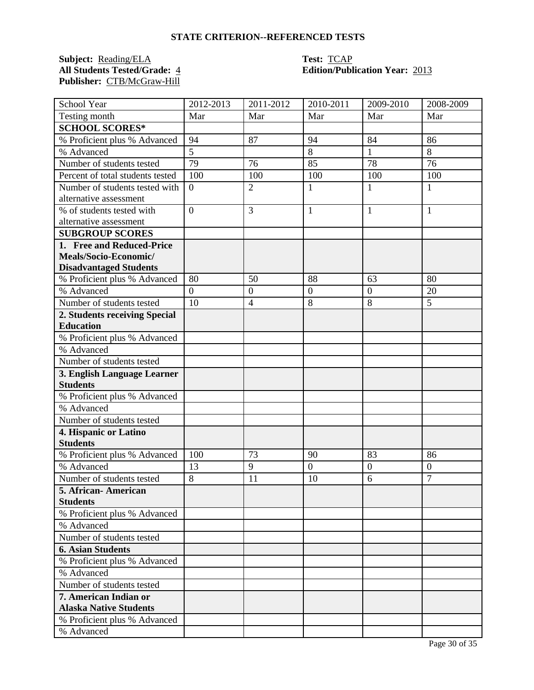**Subject:** <u>Reading/ELA</u> **Test:** <u>TCAP</u><br> **All Students Tested/Grade:** 4 **Test: Edition/Publ** Publisher: CTB/McGraw-Hill

## **All Students Tested/Grade:** 4 **Edition/Publication Year:** 2013

| School Year                                | 2012-2013        | 2011-2012        | 2010-2011        | 2009-2010        | 2008-2009        |
|--------------------------------------------|------------------|------------------|------------------|------------------|------------------|
| Testing month                              | Mar              | Mar              | Mar              | Mar              | Mar              |
| <b>SCHOOL SCORES*</b>                      |                  |                  |                  |                  |                  |
| % Proficient plus % Advanced               | 94               | 87               | 94               | 84               | 86               |
| % Advanced                                 | $\overline{5}$   |                  | 8                | $\mathbf{1}$     | 8                |
| Number of students tested                  | 79               | 76               | 85               | 78               | 76               |
| Percent of total students tested           | 10 <sub>0</sub>  | 100              | 100              | 100              | 100              |
| Number of students tested with             | $\boldsymbol{0}$ | $\overline{2}$   | $\mathbf{1}$     | $\mathbf{1}$     | 1                |
| alternative assessment                     |                  |                  |                  |                  |                  |
| % of students tested with                  | $\overline{0}$   | 3                | $\mathbf{1}$     | $\mathbf{1}$     | 1                |
| alternative assessment                     |                  |                  |                  |                  |                  |
| <b>SUBGROUP SCORES</b>                     |                  |                  |                  |                  |                  |
| 1. Free and Reduced-Price                  |                  |                  |                  |                  |                  |
| Meals/Socio-Economic/                      |                  |                  |                  |                  |                  |
| <b>Disadvantaged Students</b>              |                  |                  |                  |                  |                  |
| % Proficient plus % Advanced               | 80               | 50               | 88               | 63               | 80               |
| % Advanced                                 | $\overline{0}$   | $\boldsymbol{0}$ | $\overline{0}$   | $\boldsymbol{0}$ | 20               |
| Number of students tested                  | 10               | $\overline{4}$   | 8                | 8                | 5                |
| 2. Students receiving Special              |                  |                  |                  |                  |                  |
| <b>Education</b>                           |                  |                  |                  |                  |                  |
| % Proficient plus % Advanced               |                  |                  |                  |                  |                  |
| % Advanced                                 |                  |                  |                  |                  |                  |
| Number of students tested                  |                  |                  |                  |                  |                  |
| 3. English Language Learner                |                  |                  |                  |                  |                  |
| <b>Students</b>                            |                  |                  |                  |                  |                  |
| % Proficient plus % Advanced               |                  |                  |                  |                  |                  |
| % Advanced                                 |                  |                  |                  |                  |                  |
| Number of students tested                  |                  |                  |                  |                  |                  |
| 4. Hispanic or Latino                      |                  |                  |                  |                  |                  |
| <b>Students</b>                            |                  |                  |                  |                  |                  |
| % Proficient plus % Advanced               | 100              | 73               | 90               | 83               | 86               |
| % Advanced                                 | 13               | 9                | $\boldsymbol{0}$ | $\overline{0}$   | $\boldsymbol{0}$ |
| Number of students tested                  | $\overline{8}$   | 11               | 10               | $\overline{6}$   | $\overline{7}$   |
| 5. African - American                      |                  |                  |                  |                  |                  |
| <b>Students</b>                            |                  |                  |                  |                  |                  |
| % Proficient plus % Advanced<br>% Advanced |                  |                  |                  |                  |                  |
|                                            |                  |                  |                  |                  |                  |
| Number of students tested                  |                  |                  |                  |                  |                  |
| <b>6. Asian Students</b>                   |                  |                  |                  |                  |                  |
| % Proficient plus % Advanced               |                  |                  |                  |                  |                  |
| % Advanced                                 |                  |                  |                  |                  |                  |
| Number of students tested                  |                  |                  |                  |                  |                  |
| 7. American Indian or                      |                  |                  |                  |                  |                  |
| <b>Alaska Native Students</b>              |                  |                  |                  |                  |                  |
| % Proficient plus % Advanced               |                  |                  |                  |                  |                  |
| % Advanced                                 |                  |                  |                  |                  |                  |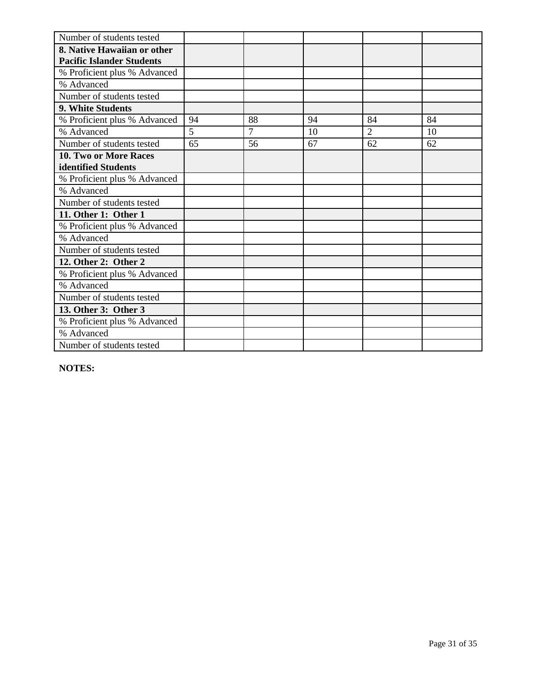| Number of students tested        |    |    |    |                |    |
|----------------------------------|----|----|----|----------------|----|
| 8. Native Hawaiian or other      |    |    |    |                |    |
| <b>Pacific Islander Students</b> |    |    |    |                |    |
| % Proficient plus % Advanced     |    |    |    |                |    |
| % Advanced                       |    |    |    |                |    |
| Number of students tested        |    |    |    |                |    |
| <b>9. White Students</b>         |    |    |    |                |    |
| % Proficient plus % Advanced     | 94 | 88 | 94 | 84             | 84 |
| % Advanced                       | 5  | 7  | 10 | $\overline{2}$ | 10 |
| Number of students tested        | 65 | 56 | 67 | 62             | 62 |
| 10. Two or More Races            |    |    |    |                |    |
| identified Students              |    |    |    |                |    |
| % Proficient plus % Advanced     |    |    |    |                |    |
| % Advanced                       |    |    |    |                |    |
| Number of students tested        |    |    |    |                |    |
| 11. Other 1: Other 1             |    |    |    |                |    |
| % Proficient plus % Advanced     |    |    |    |                |    |
| % Advanced                       |    |    |    |                |    |
| Number of students tested        |    |    |    |                |    |
| 12. Other 2: Other 2             |    |    |    |                |    |
| % Proficient plus % Advanced     |    |    |    |                |    |
| % Advanced                       |    |    |    |                |    |
| Number of students tested        |    |    |    |                |    |
| 13. Other 3: Other 3             |    |    |    |                |    |
| % Proficient plus % Advanced     |    |    |    |                |    |
| % Advanced                       |    |    |    |                |    |
| Number of students tested        |    |    |    |                |    |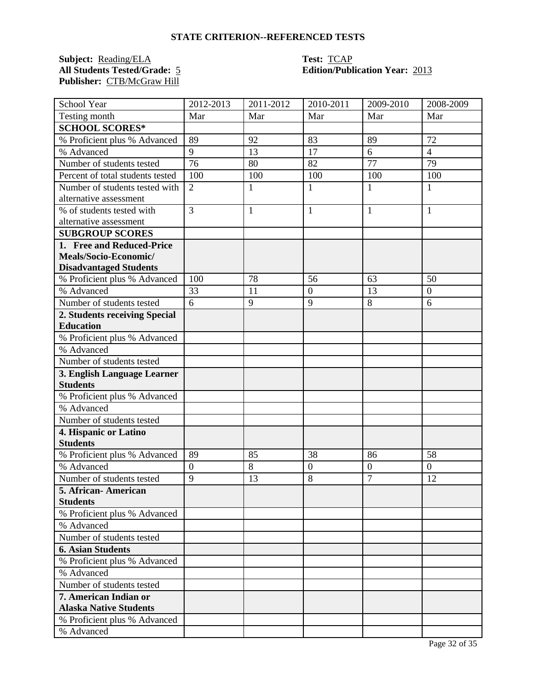**Subject:** <u>Reading/ELA</u> **Test:** <u>TCAP</u><br> **All Students Tested/Grade:** 5 **TEST: Edition/Publ** Publisher: CTB/McGraw Hill

## **All Students Tested/Grade:** 5 **Edition/Publication Year:** 2013

| School Year                      | 2012-2013        | 2011-2012    | 2010-2011        | 2009-2010      | 2008-2009      |
|----------------------------------|------------------|--------------|------------------|----------------|----------------|
| Testing month                    | Mar              | Mar          | Mar              | Mar            | Mar            |
| <b>SCHOOL SCORES*</b>            |                  |              |                  |                |                |
| % Proficient plus % Advanced     | 89               | 92           | 83               | 89             | 72             |
| % Advanced                       | 9                | 13           | 17               | 6              | $\overline{4}$ |
| Number of students tested        | 76               | 80           | 82               | 77             | 79             |
| Percent of total students tested | 100              | 100          | 100              | 100            | 100            |
| Number of students tested with   | $\overline{2}$   | 1            | 1                | 1              | 1              |
| alternative assessment           |                  |              |                  |                |                |
| % of students tested with        | $\overline{3}$   | $\mathbf{1}$ | $\mathbf{1}$     | $\mathbf{1}$   | 1              |
| alternative assessment           |                  |              |                  |                |                |
| <b>SUBGROUP SCORES</b>           |                  |              |                  |                |                |
| 1. Free and Reduced-Price        |                  |              |                  |                |                |
| Meals/Socio-Economic/            |                  |              |                  |                |                |
| <b>Disadvantaged Students</b>    |                  |              |                  |                |                |
| % Proficient plus % Advanced     | 100              | 78           | 56               | 63             | 50             |
| % Advanced                       | 33               | 11           | $\boldsymbol{0}$ | 13             | $\overline{0}$ |
| Number of students tested        | 6                | 9            | 9                | 8              | 6              |
| 2. Students receiving Special    |                  |              |                  |                |                |
| <b>Education</b>                 |                  |              |                  |                |                |
| % Proficient plus % Advanced     |                  |              |                  |                |                |
| % Advanced                       |                  |              |                  |                |                |
| Number of students tested        |                  |              |                  |                |                |
| 3. English Language Learner      |                  |              |                  |                |                |
| <b>Students</b>                  |                  |              |                  |                |                |
| % Proficient plus % Advanced     |                  |              |                  |                |                |
| % Advanced                       |                  |              |                  |                |                |
| Number of students tested        |                  |              |                  |                |                |
| 4. Hispanic or Latino            |                  |              |                  |                |                |
| <b>Students</b>                  |                  |              |                  |                |                |
| % Proficient plus % Advanced     | 89               | 85           | 38               | 86             | 58             |
| % Advanced                       | $\boldsymbol{0}$ | 8            | $\boldsymbol{0}$ | $\overline{0}$ | $\overline{0}$ |
| Number of students tested        | $\overline{9}$   | 13           | 8                | $\overline{7}$ | 12             |
| 5. African- American             |                  |              |                  |                |                |
| <b>Students</b>                  |                  |              |                  |                |                |
| % Proficient plus % Advanced     |                  |              |                  |                |                |
| % Advanced                       |                  |              |                  |                |                |
| Number of students tested        |                  |              |                  |                |                |
| <b>6. Asian Students</b>         |                  |              |                  |                |                |
| % Proficient plus % Advanced     |                  |              |                  |                |                |
| % Advanced                       |                  |              |                  |                |                |
| Number of students tested        |                  |              |                  |                |                |
| 7. American Indian or            |                  |              |                  |                |                |
| <b>Alaska Native Students</b>    |                  |              |                  |                |                |
| % Proficient plus % Advanced     |                  |              |                  |                |                |
| % Advanced                       |                  |              |                  |                |                |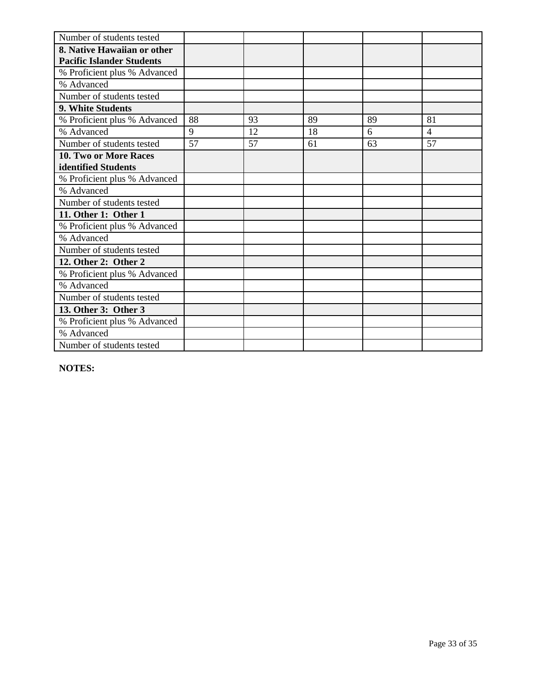| Number of students tested        |    |    |    |    |                |
|----------------------------------|----|----|----|----|----------------|
| 8. Native Hawaiian or other      |    |    |    |    |                |
| <b>Pacific Islander Students</b> |    |    |    |    |                |
| % Proficient plus % Advanced     |    |    |    |    |                |
| % Advanced                       |    |    |    |    |                |
| Number of students tested        |    |    |    |    |                |
| 9. White Students                |    |    |    |    |                |
| % Proficient plus % Advanced     | 88 | 93 | 89 | 89 | 81             |
| % Advanced                       | 9  | 12 | 18 | 6  | $\overline{4}$ |
| Number of students tested        | 57 | 57 | 61 | 63 | 57             |
| <b>10. Two or More Races</b>     |    |    |    |    |                |
| identified Students              |    |    |    |    |                |
| % Proficient plus % Advanced     |    |    |    |    |                |
| % Advanced                       |    |    |    |    |                |
| Number of students tested        |    |    |    |    |                |
| 11. Other 1: Other 1             |    |    |    |    |                |
| % Proficient plus % Advanced     |    |    |    |    |                |
| % Advanced                       |    |    |    |    |                |
| Number of students tested        |    |    |    |    |                |
| 12. Other 2: Other 2             |    |    |    |    |                |
| % Proficient plus % Advanced     |    |    |    |    |                |
| % Advanced                       |    |    |    |    |                |
| Number of students tested        |    |    |    |    |                |
| 13. Other 3: Other 3             |    |    |    |    |                |
| % Proficient plus % Advanced     |    |    |    |    |                |
| % Advanced                       |    |    |    |    |                |
| Number of students tested        |    |    |    |    |                |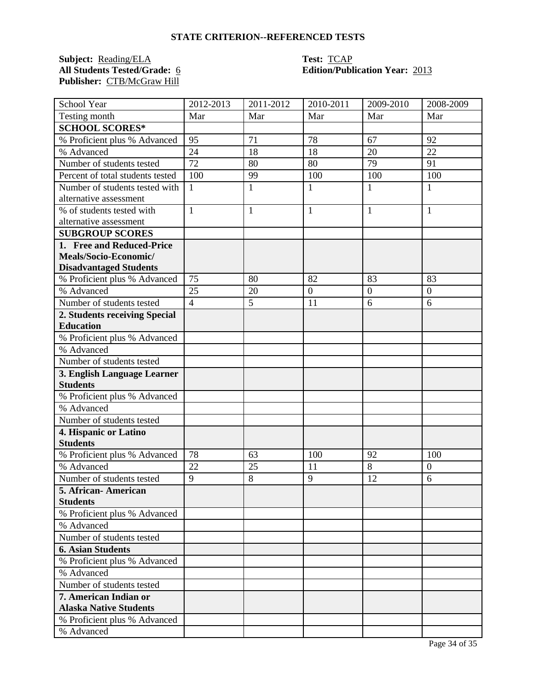**Subject:** <u>Reading/ELA</u> **Test:** <u>TCAP</u><br> **All Students Tested/Grade:** 6 **Test: Edition/Publ** Publisher: CTB/McGraw Hill

## **All Students Tested/Grade:** 6 **Edition/Publication Year:** 2013

| School Year                                     | 2012-2013      | 2011-2012    | 2010-2011      | 2009-2010      | 2008-2009      |
|-------------------------------------------------|----------------|--------------|----------------|----------------|----------------|
| Testing month                                   | Mar            | Mar          | Mar            | Mar            | Mar            |
| <b>SCHOOL SCORES*</b>                           |                |              |                |                |                |
| % Proficient plus % Advanced                    | 95             | 71           | 78             | 67             | 92             |
| % Advanced                                      | 24             | 18           | 18             | 20             | 22             |
| Number of students tested                       | 72             | 80           | 80             | 79             | 91             |
| Percent of total students tested                | 100            | 99           | 100            | 100            | 100            |
| Number of students tested with                  | $\mathbf{1}$   | $\mathbf{1}$ | $\mathbf{1}$   | 1              | 1              |
| alternative assessment                          |                |              |                |                |                |
| % of students tested with                       | $\mathbf{1}$   | $\mathbf{1}$ | $\mathbf{1}$   | 1              | 1              |
| alternative assessment                          |                |              |                |                |                |
| <b>SUBGROUP SCORES</b>                          |                |              |                |                |                |
| 1. Free and Reduced-Price                       |                |              |                |                |                |
| Meals/Socio-Economic/                           |                |              |                |                |                |
| <b>Disadvantaged Students</b>                   |                |              |                |                |                |
| % Proficient plus % Advanced                    | 75             | 80           | 82             | 83             | 83             |
| % Advanced                                      | 25             | 20           | $\overline{0}$ | $\overline{0}$ | $\overline{0}$ |
| Number of students tested                       | $\overline{4}$ | 5            | 11             | 6              | 6              |
| 2. Students receiving Special                   |                |              |                |                |                |
| <b>Education</b>                                |                |              |                |                |                |
| % Proficient plus % Advanced                    |                |              |                |                |                |
| % Advanced                                      |                |              |                |                |                |
| Number of students tested                       |                |              |                |                |                |
| 3. English Language Learner                     |                |              |                |                |                |
| <b>Students</b>                                 |                |              |                |                |                |
| % Proficient plus % Advanced                    |                |              |                |                |                |
| % Advanced                                      |                |              |                |                |                |
| Number of students tested                       |                |              |                |                |                |
| 4. Hispanic or Latino                           |                |              |                |                |                |
| <b>Students</b>                                 |                |              |                |                |                |
| % Proficient plus % Advanced                    | 78             | 63           | 100            | 92             | 100            |
| % Advanced                                      | 22             | 25           | 11             | 8              | $\overline{0}$ |
| Number of students tested                       | 9              | 8            | 9              | 12             | 6              |
| 5. African-American                             |                |              |                |                |                |
| <b>Students</b><br>% Proficient plus % Advanced |                |              |                |                |                |
| % Advanced                                      |                |              |                |                |                |
| Number of students tested                       |                |              |                |                |                |
| <b>6. Asian Students</b>                        |                |              |                |                |                |
|                                                 |                |              |                |                |                |
| % Proficient plus % Advanced<br>% Advanced      |                |              |                |                |                |
| Number of students tested                       |                |              |                |                |                |
| 7. American Indian or                           |                |              |                |                |                |
| <b>Alaska Native Students</b>                   |                |              |                |                |                |
|                                                 |                |              |                |                |                |
| % Proficient plus % Advanced                    |                |              |                |                |                |
| % Advanced                                      |                |              |                |                |                |